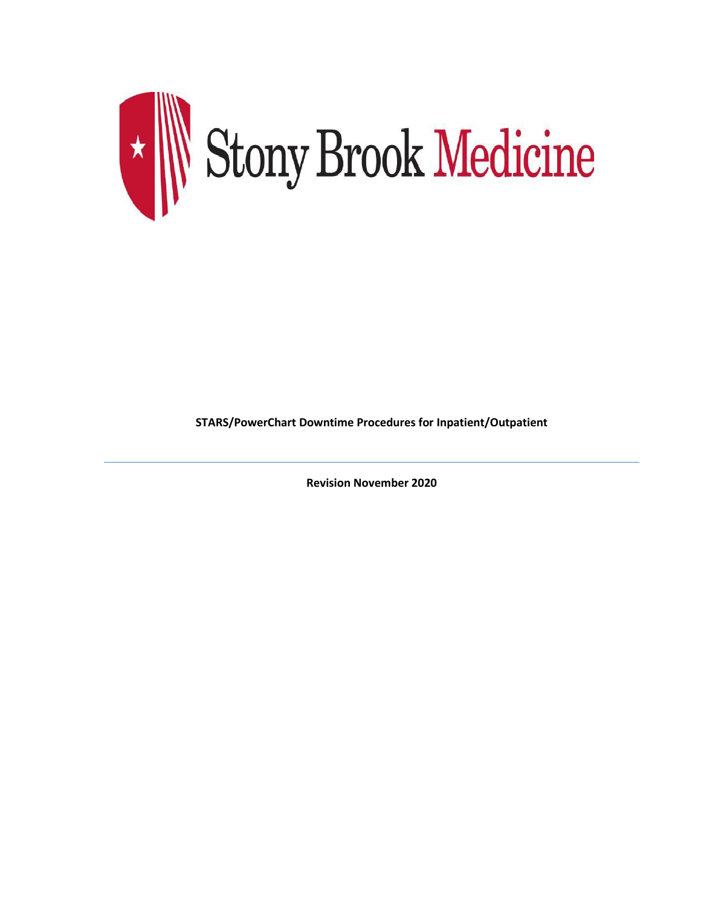

**STARS/PowerChart Downtime Procedures for Inpatient/Outpatient**

**Revision November 2020**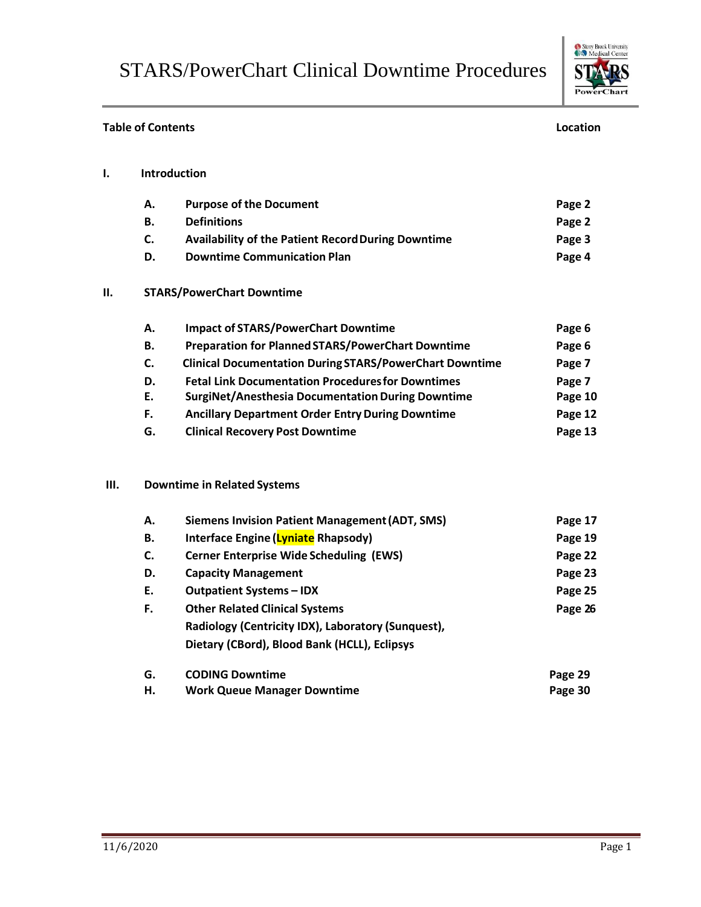**Table of Contents Location**



## **I. Introduction A. Purpose of the Document Page 2 B. Definitions Page 2 C. Availability of the Patient RecordDuring Downtime Page 3 D. Downtime Communication Plan Page 4 II. STARS/PowerChart Downtime A. Impact of STARS/PowerChart Downtime Page 6 B. Preparation for PlannedSTARS/PowerChart Downtime Page 6 C. Clinical Documentation During STARS/PowerChart Downtime Page 7 D. Fetal Link Documentation Proceduresfor Downtimes Page 7 E. SurgiNet/Anesthesia DocumentationDuring Downtime Page 10 F. Ancillary Department Order EntryDuring Downtime Page 12 G. Clinical Recovery Post Downtime Page 13 III. Downtime in Related Systems A. Siemens Invision Patient Management(ADT, SMS) Page 17 B. Interface Engine (Lyniate Rhapsody) Page 19 C. Cerner Enterprise Wide Scheduling (EWS) Page 22 D. Capacity Management Page 23 E. Outpatient Systems – IDX Page 25 F. Other Related Clinical Systems Page 26 Radiology (Centricity IDX), Laboratory (Sunquest), Dietary (CBord), Blood Bank (HCLL), Eclipsys G. CODING Downtime Page 29 H. Work Queue Manager Downtime Page 30**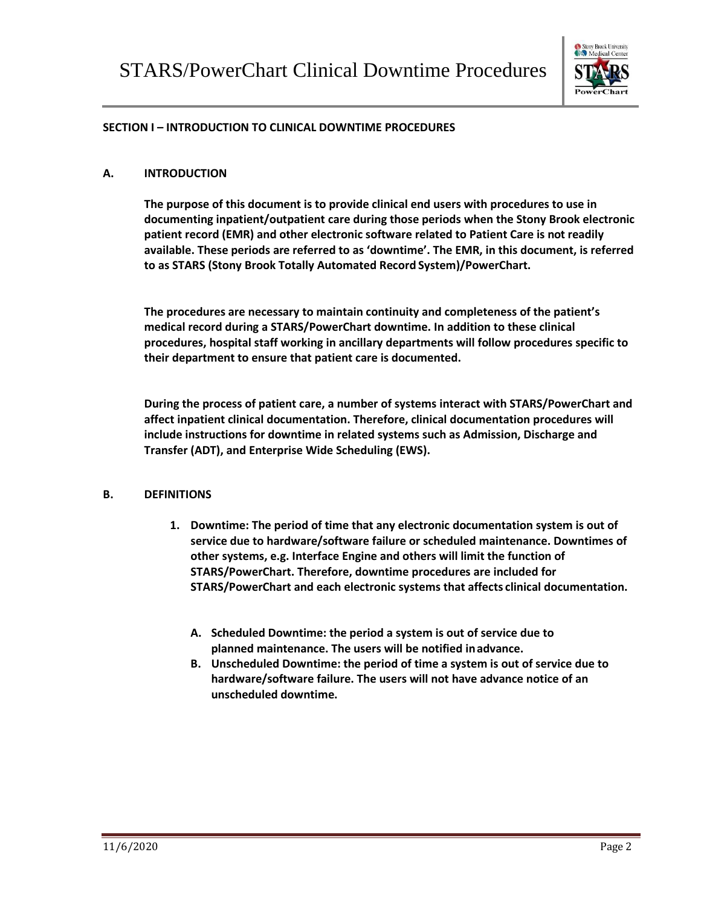

#### **SECTION I – INTRODUCTION TO CLINICAL DOWNTIME PROCEDURES**

#### **A. INTRODUCTION**

**The purpose of this document is to provide clinical end users with procedures to use in documenting inpatient/outpatient care during those periods when the Stony Brook electronic patient record (EMR) and other electronic software related to Patient Care is not readily available. These periods are referred to as 'downtime'. The EMR, in this document, is referred to as STARS (Stony Brook Totally Automated Record System)/PowerChart.**

**The procedures are necessary to maintain continuity and completeness of the patient's medical record during a STARS/PowerChart downtime. In addition to these clinical procedures, hospital staff working in ancillary departments will follow procedures specific to their department to ensure that patient care is documented.**

**During the process of patient care, a number of systems interact with STARS/PowerChart and affect inpatient clinical documentation. Therefore, clinical documentation procedures will include instructions for downtime in related systems such as Admission, Discharge and Transfer (ADT), and Enterprise Wide Scheduling (EWS).**

## **B. DEFINITIONS**

- **1. Downtime: The period of time that any electronic documentation system is out of service due to hardware/software failure or scheduled maintenance. Downtimes of other systems, e.g. Interface Engine and others will limit the function of STARS/PowerChart. Therefore, downtime procedures are included for STARS/PowerChart and each electronic systems that affects clinical documentation.**
	- **A. Scheduled Downtime: the period a system is out of service due to planned maintenance. The users will be notified inadvance.**
	- **B. Unscheduled Downtime: the period of time a system is out of service due to hardware/software failure. The users will not have advance notice of an unscheduled downtime.**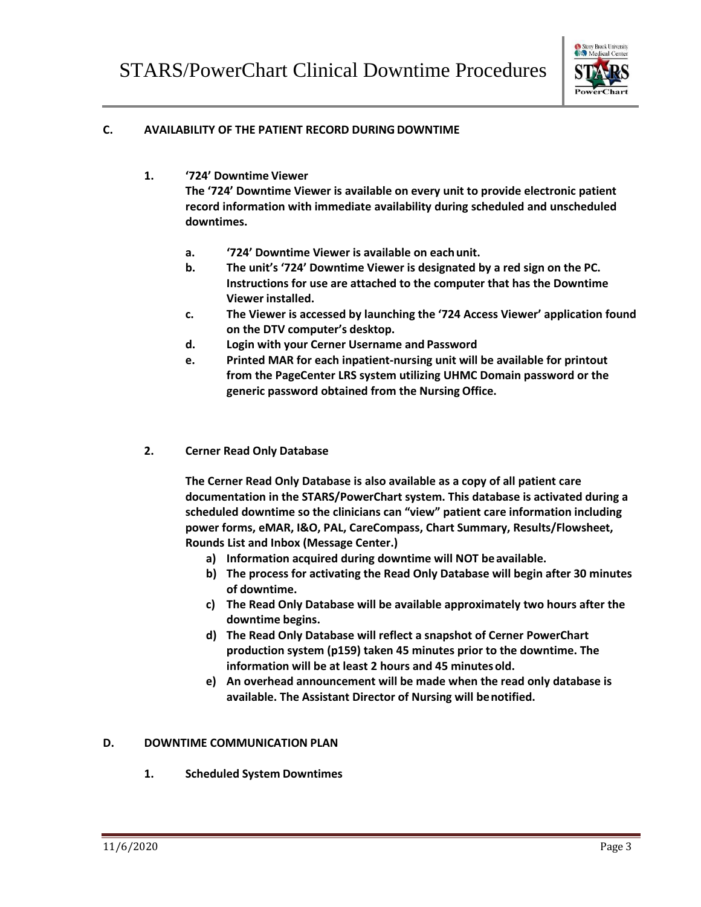

## **C. AVAILABILITY OF THE PATIENT RECORD DURINGDOWNTIME**

**1. '724' Downtime Viewer**

**The '724' Downtime Viewer is available on every unit to provide electronic patient record information with immediate availability during scheduled and unscheduled downtimes.**

- **a. '724' Downtime Viewer is available on eachunit.**
- **b. The unit's '724' Downtime Viewer is designated by a red sign on the PC. Instructions for use are attached to the computer that has the Downtime Viewer installed.**
- **c. The Viewer is accessed by launching the '724 Access Viewer' application found on the DTV computer's desktop.**
- **d. Login with your Cerner Username and Password**
- **e. Printed MAR for each inpatient-nursing unit will be available for printout from the PageCenter LRS system utilizing UHMC Domain password or the generic password obtained from the Nursing Office.**
- **2. Cerner Read Only Database**

**The Cerner Read Only Database is also available as a copy of all patient care documentation in the STARS/PowerChart system. This database is activated during a scheduled downtime so the clinicians can "view" patient care information including power forms, eMAR, I&O, PAL, CareCompass, Chart Summary, Results/Flowsheet, Rounds List and Inbox (Message Center.)**

- **a) Information acquired during downtime will NOT beavailable.**
- **b) The process for activating the Read Only Database will begin after 30 minutes of downtime.**
- **c) The Read Only Database will be available approximately two hours after the downtime begins.**
- **d) The Read Only Database will reflect a snapshot of Cerner PowerChart production system (p159) taken 45 minutes prior to the downtime. The information will be at least 2 hours and 45 minutesold.**
- **e) An overhead announcement will be made when the read only database is available. The Assistant Director of Nursing will benotified.**

## **D. DOWNTIME COMMUNICATION PLAN**

**1. Scheduled System Downtimes**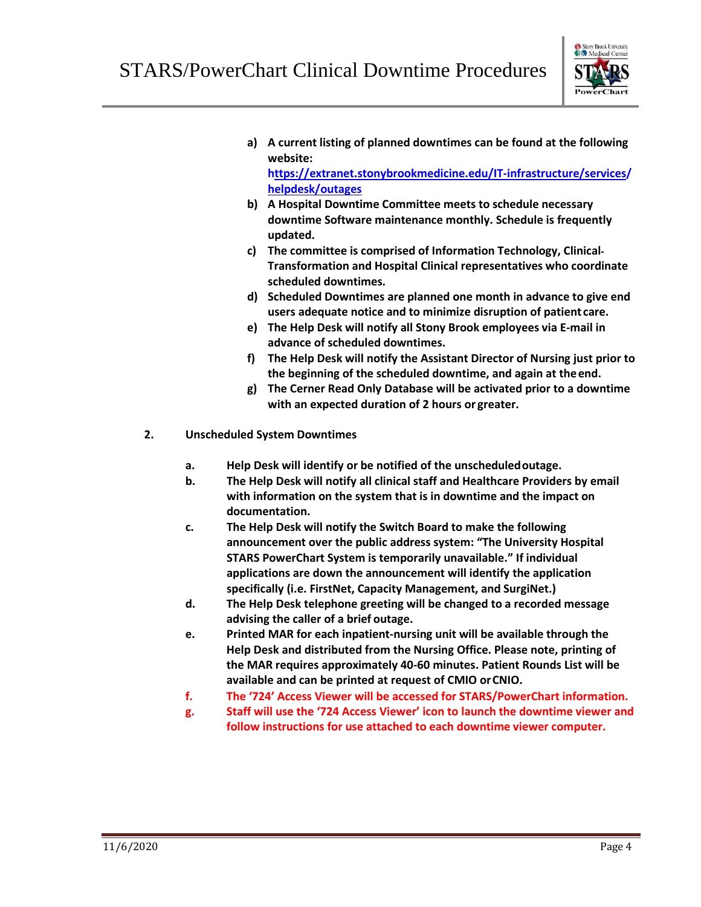

**a) A current listing of planned downtimes can be found at the following website:**

**[https://extranet.stonybrookmedicine.edu/IT-infrastructure/services/](https://extranet.stonybrookmedicine.edu/IT-infrastructure/services/helpdesk/outages) [helpdesk/outages](https://extranet.stonybrookmedicine.edu/IT-infrastructure/services/helpdesk/outages)**

- **b) A Hospital Downtime Committee meets to schedule necessary downtime Software maintenance monthly. Schedule is frequently updated.**
- **c) The committee is comprised of Information Technology, Clinical Transformation and Hospital Clinical representatives who coordinate scheduled downtimes.**
- **d) Scheduled Downtimes are planned one month in advance to give end users adequate notice and to minimize disruption of patient care.**
- **e) The Help Desk will notify all Stony Brook employees via E-mail in advance of scheduled downtimes.**
- **f) The Help Desk will notify the Assistant Director of Nursing just prior to the beginning of the scheduled downtime, and again at theend.**
- **g) The Cerner Read Only Database will be activated prior to a downtime with an expected duration of 2 hours or greater.**
- **2. Unscheduled System Downtimes**
	- **a. Help Desk will identify or be notified of the unscheduledoutage.**
	- **b. The Help Desk will notify all clinical staff and Healthcare Providers by email with information on the system that is in downtime and the impact on documentation.**
	- **c. The Help Desk will notify the Switch Board to make the following announcement over the public address system: "The University Hospital STARS PowerChart System is temporarily unavailable." If individual applications are down the announcement will identify the application specifically (i.e. FirstNet, Capacity Management, and SurgiNet.)**
	- **d. The Help Desk telephone greeting will be changed to a recorded message advising the caller of a brief outage.**
	- **e. Printed MAR for each inpatient-nursing unit will be available through the Help Desk and distributed from the Nursing Office. Please note, printing of the MAR requires approximately 40-60 minutes. Patient Rounds List will be available and can be printed at request of CMIO orCNIO.**
	- **f. The '724' Access Viewer will be accessed for STARS/PowerChart information.**
	- **g. Staff will use the '724 Access Viewer' icon to launch the downtime viewer and follow instructions for use attached to each downtime viewer computer.**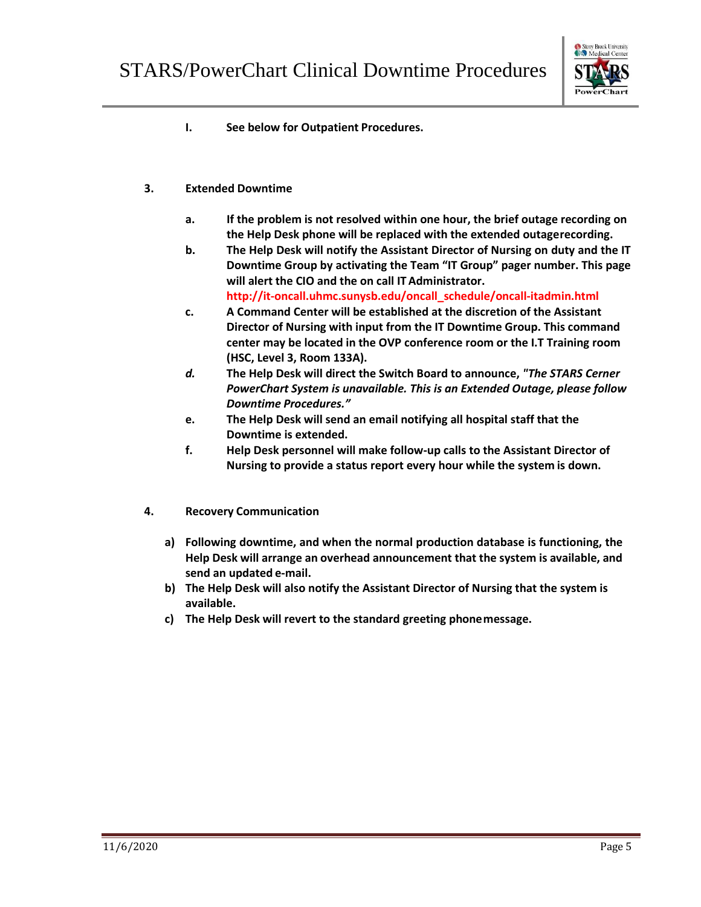

- **I. See below for Outpatient Procedures.**
- **3. Extended Downtime**
	- **a. If the problem is not resolved within one hour, the brief outage recording on the Help Desk phone will be replaced with the extended outagerecording.**
	- **b. The Help Desk will notify the Assistant Director of Nursing on duty and the IT Downtime Group by activating the Team "IT Group" pager number. This page will alert the CIO and the on call ITAdministrator. [http://it-oncall.uhmc.sunysb.edu/oncall\\_schedule/oncall-itadmin.html](http://it-oncall.uhmc.sunysb.edu/oncall_schedule/oncall-itadmin.htm)**
	- **c. A Command Center will be established at the discretion of the Assistant Director of Nursing with input from the IT Downtime Group. This command center may be located in the OVP conference room or the I.T Training room (HSC, Level 3, Room 133A).**
	- *d.* **The Help Desk will direct the Switch Board to announce,** *"The STARS Cerner PowerChart System is unavailable. This is an Extended Outage, please follow Downtime Procedures."*
	- **e. The Help Desk will send an email notifying all hospital staff that the Downtime is extended.**
	- **f. Help Desk personnel will make follow-up calls to the Assistant Director of Nursing to provide a status report every hour while the system is down.**
- **4. Recovery Communication**
	- **a) Following downtime, and when the normal production database is functioning, the Help Desk will arrange an overhead announcement that the system is available, and send an updated e-mail.**
	- **b) The Help Desk will also notify the Assistant Director of Nursing that the system is available.**
	- **c) The Help Desk will revert to the standard greeting phonemessage.**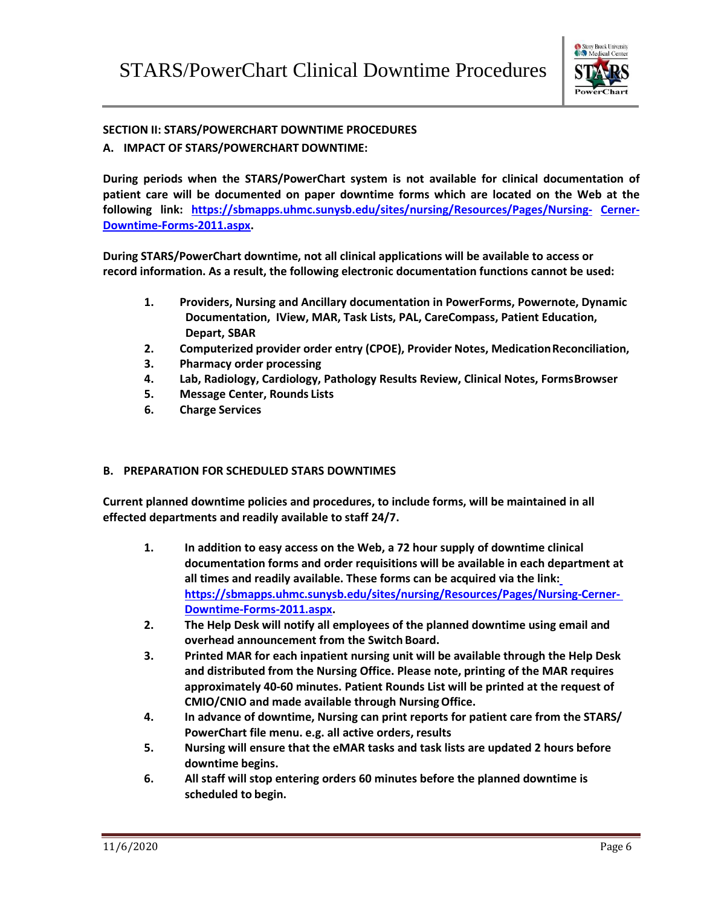

## **SECTION II: STARS/POWERCHART DOWNTIME PROCEDURES**

## **A. IMPACT OF STARS/POWERCHART DOWNTIME:**

**During periods when the STARS/PowerChart system is not available for clinical documentation of patient care will be documented on paper downtime forms which are located on the Web at the following [link: https://sbmapps.uhmc.sunysb.edu/sites/nursing/Resources/Pages/Nursing-](https://sbmapps.uhmc.sunysb.edu/sites/nursing/Resources/Pages/Nursing-Cerner-Downtime-Forms-2011.aspx) [Cerner-](http://sbumconline.uhmc.sunysb.edu/sites/nursing/Resources/Pages/Nursing-Cerner-Downtime-Forms-2011.aspx)[Downtime-Forms-2011.aspx.](http://sbumconline.uhmc.sunysb.edu/sites/nursing/Resources/Pages/Nursing-Cerner-Downtime-Forms-2011.aspx)**

**During STARS/PowerChart downtime, not all clinical applications will be available to access or record information. As a result, the following electronic documentation functions cannot be used:**

- **1. Providers, Nursing and Ancillary documentation in PowerForms, Powernote, Dynamic Documentation, IView, MAR, Task Lists, PAL, CareCompass, Patient Education, Depart, SBAR**
- **2. Computerized provider order entry (CPOE), Provider Notes, MedicationReconciliation,**
- **3. Pharmacy order processing**
- **4. Lab, Radiology, Cardiology, Pathology Results Review, Clinical Notes, FormsBrowser**
- **5. Message Center, Rounds Lists**
- **6. Charge Services**

## **B. PREPARATION FOR SCHEDULED STARS DOWNTIMES**

**Current planned downtime policies and procedures, to include forms, will be maintained in all effected departments and readily available to staff 24/7.**

- **1. In addition to easy access on the Web, a 72 hour supply of downtime clinical documentation forms and order requisitions will be available in each department at all times and readily available. These forms can be acquired via the link: [https://sbmapps.uhmc.sunysb.edu/sites/nursing/Resources/Pages/Nursing-Cerner-](https://sbmapps.uhmc.sunysb.edu/sites/nursing/Resources/Pages/Nursing-Cerner-Downtime-Forms-2011.aspx)[Downtime-Forms-2011.aspx.](https://sbmapps.uhmc.sunysb.edu/sites/nursing/Resources/Pages/Nursing-Cerner-Downtime-Forms-2011.aspx)**
- **2. The Help Desk will notify all employees of the planned downtime using email and overhead announcement from the Switch Board.**
- **3. Printed MAR for each inpatient nursing unit will be available through the Help Desk and distributed from the Nursing Office. Please note, printing of the MAR requires approximately 40-60 minutes. Patient Rounds List will be printed at the request of CMIO/CNIO and made available through NursingOffice.**
- **4. In advance of downtime, Nursing can print reports for patient care from the STARS/ PowerChart file menu. e.g. all active orders, results**
- **5. Nursing will ensure that the eMAR tasks and task lists are updated 2 hours before downtime begins.**
- **6. All staff will stop entering orders 60 minutes before the planned downtime is scheduled to begin.**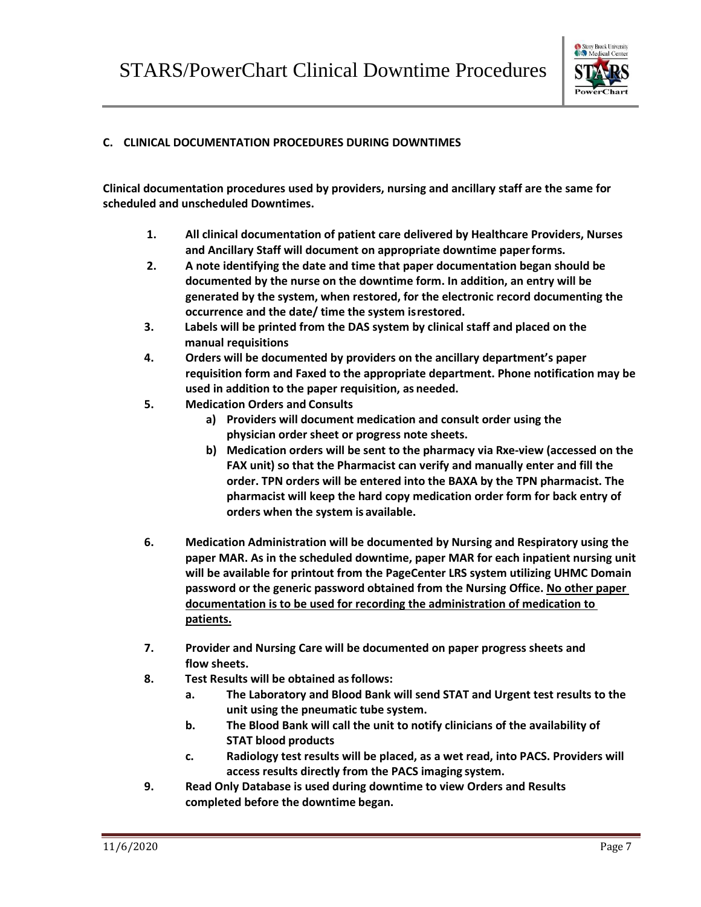

## **C. CLINICAL DOCUMENTATION PROCEDURES DURING DOWNTIMES**

**Clinical documentation procedures used by providers, nursing and ancillary staff are the same for scheduled and unscheduled Downtimes.**

- **1. All clinical documentation of patient care delivered by Healthcare Providers, Nurses and Ancillary Staff will document on appropriate downtime paperforms.**
- **2. A note identifying the date and time that paper documentation began should be documented by the nurse on the downtime form. In addition, an entry will be generated by the system, when restored, for the electronic record documenting the occurrence and the date/ time the system isrestored.**
- **3. Labels will be printed from the DAS system by clinical staff and placed on the manual requisitions**
- **4. Orders will be documented by providers on the ancillary department's paper requisition form and Faxed to the appropriate department. Phone notification may be used in addition to the paper requisition, as needed.**
- **5. Medication Orders and Consults**
	- **a) Providers will document medication and consult order using the physician order sheet or progress note sheets.**
	- **b) Medication orders will be sent to the pharmacy via Rxe-view (accessed on the FAX unit) so that the Pharmacist can verify and manually enter and fill the order. TPN orders will be entered into the BAXA by the TPN pharmacist. The pharmacist will keep the hard copy medication order form for back entry of orders when the system is available.**
- **6. Medication Administration will be documented by Nursing and Respiratory using the paper MAR. As in the scheduled downtime, paper MAR for each inpatient nursing unit will be available for printout from the PageCenter LRS system utilizing UHMC Domain password or the generic password obtained from the Nursing Office. No other paper documentation is to be used for recording the administration of medication to patients.**
- **7. Provider and Nursing Care will be documented on paper progress sheets and flow sheets.**
- **8. Test Results will be obtained asfollows:**
	- **a. The Laboratory and Blood Bank will send STAT and Urgent test results to the unit using the pneumatic tube system.**
	- **b. The Blood Bank will call the unit to notify clinicians of the availability of STAT blood products**
	- **c. Radiology test results will be placed, as a wet read, into PACS. Providers will access results directly from the PACS imaging system.**
- **9. Read Only Database is used during downtime to view Orders and Results completed before the downtime began.**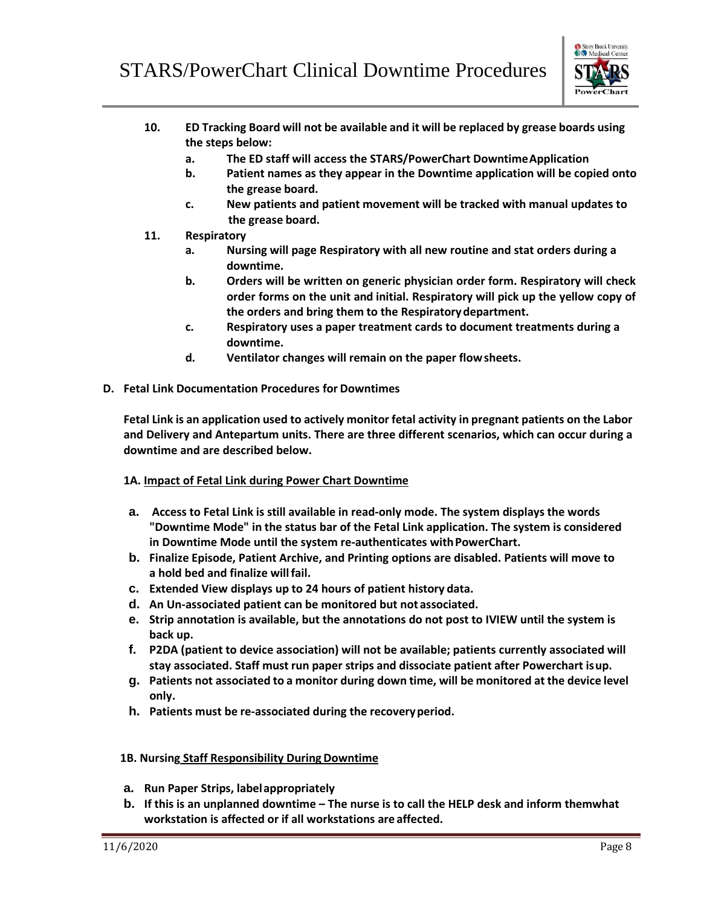

- **10. ED Tracking Board will not be available and it will be replaced by grease boards using the steps below:**
	- **a. The ED staff will access the STARS/PowerChart DowntimeApplication**
	- **b. Patient names as they appear in the Downtime application will be copied onto the grease board.**
	- **c. New patients and patient movement will be tracked with manual updates to the grease board.**
- **11. Respiratory**
	- **a. Nursing will page Respiratory with all new routine and stat orders during a downtime.**
	- **b. Orders will be written on generic physician order form. Respiratory will check order forms on the unit and initial. Respiratory will pick up the yellow copy of the orders and bring them to the Respiratorydepartment.**
	- **c. Respiratory uses a paper treatment cards to document treatments during a downtime.**
	- **d. Ventilator changes will remain on the paper flowsheets.**
- **D. Fetal Link Documentation Procedures for Downtimes**

**Fetal Link is an application used to actively monitor fetal activity in pregnant patients on the Labor and Delivery and Antepartum units. There are three different scenarios, which can occur during a downtime and are described below.**

- **1A. Impact of Fetal Link during Power Chart Downtime**
- **a. Access to Fetal Link is still available in read-only mode. The system displays the words "Downtime Mode" in the status bar of the Fetal Link application. The system is considered**  in Downtime Mode until the system re-authenticates with PowerChart.
- **b. Finalize Episode, Patient Archive, and Printing options are disabled. Patients will move to a hold bed and finalize willfail.**
- **c. Extended View displays up to 24 hours of patient history data.**
- **d. An Un-associated patient can be monitored but not associated.**
- **e. Strip annotation is available, but the annotations do not post to IVIEW until the system is back up.**
- **f. P2DA (patient to device association) will not be available; patients currently associated will stay associated. Staff must run paper strips and dissociate patient after Powerchart isup.**
- **g. Patients not associated to a monitor during down time, will be monitored at the device level only.**
- **h. Patients must be re-associated during the recoveryperiod.**

## **1B. Nursing Staff Responsibility During Downtime**

- **a. Run Paper Strips, labelappropriately**
- **b. If this is an unplanned downtime – The nurse is to call the HELP desk and inform themwhat workstation is affected or if all workstations are affected.**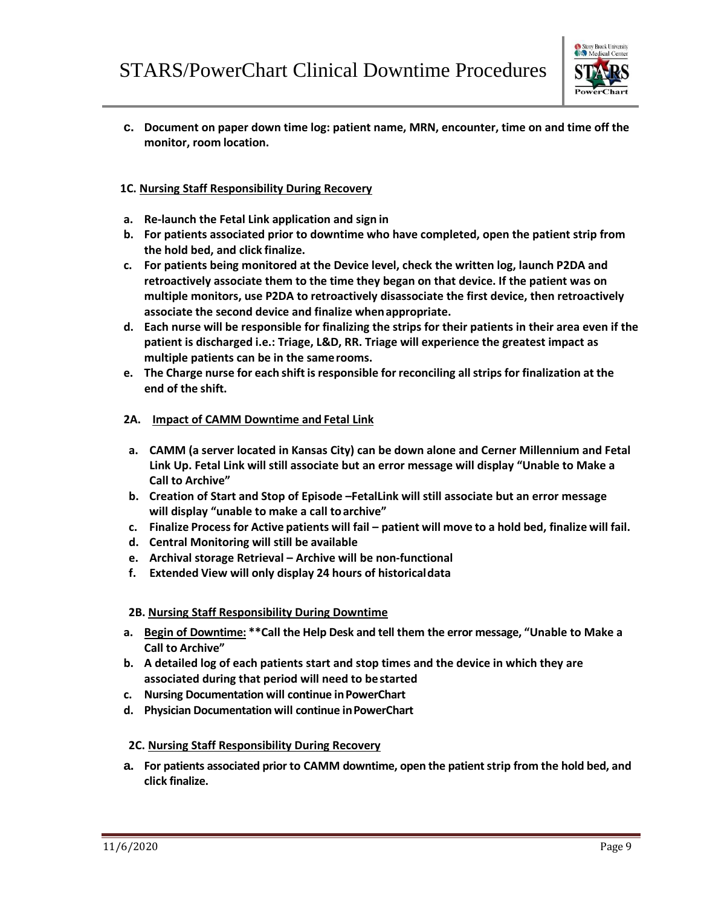

**c. Document on paper down time log: patient name, MRN, encounter, time on and time off the monitor, room location.**

## **1C. Nursing Staff Responsibility During Recovery**

- **a. Re-launch the Fetal Link application and sign in**
- **b. For patients associated prior to downtime who have completed, open the patient strip from the hold bed, and click finalize.**
- **c. For patients being monitored at the Device level, check the written log, launch P2DA and retroactively associate them to the time they began on that device. If the patient was on multiple monitors, use P2DA to retroactively disassociate the first device, then retroactively associate the second device and finalize whenappropriate.**
- **d. Each nurse will be responsible for finalizing the strips for their patients in their area even if the patient is discharged i.e.: Triage, L&D, RR. Triage will experience the greatest impact as multiple patients can be in the samerooms.**
- **e. The Charge nurse for each shift isresponsible for reconciling all strips for finalization at the end of the shift.**

## **2A. Impact of CAMM Downtime and Fetal Link**

- **a. CAMM (a server located in Kansas City) can be down alone and Cerner Millennium and Fetal Link Up. Fetal Link will still associate but an error message will display "Unable to Make a Call to Archive"**
- **b. Creation of Start and Stop of Episode –FetalLink will still associate but an error message will display "unable to make a call toarchive"**
- c. Finalize Process for Active patients will fail patient will move to a hold bed, finalize will fail.
- **d. Central Monitoring will still be available**
- **e. Archival storage Retrieval – Archive will be non-functional**
- **f. Extended View will only display 24 hours of historicaldata**

## **2B. Nursing Staff Responsibility During Downtime**

- **a. Begin of Downtime: \*\*Call the Help Desk and tell them the error message, "Unable to Make a Call to Archive"**
- **b. A detailed log of each patients start and stop times and the device in which they are associated during that period will need to bestarted**
- **c. Nursing Documentation will continue inPowerChart**
- **d. Physician Documentation will continue inPowerChart**

## **2C. Nursing Staff Responsibility During Recovery**

**a. For patients associated prior to CAMM downtime, open the patient strip from the hold bed, and click finalize.**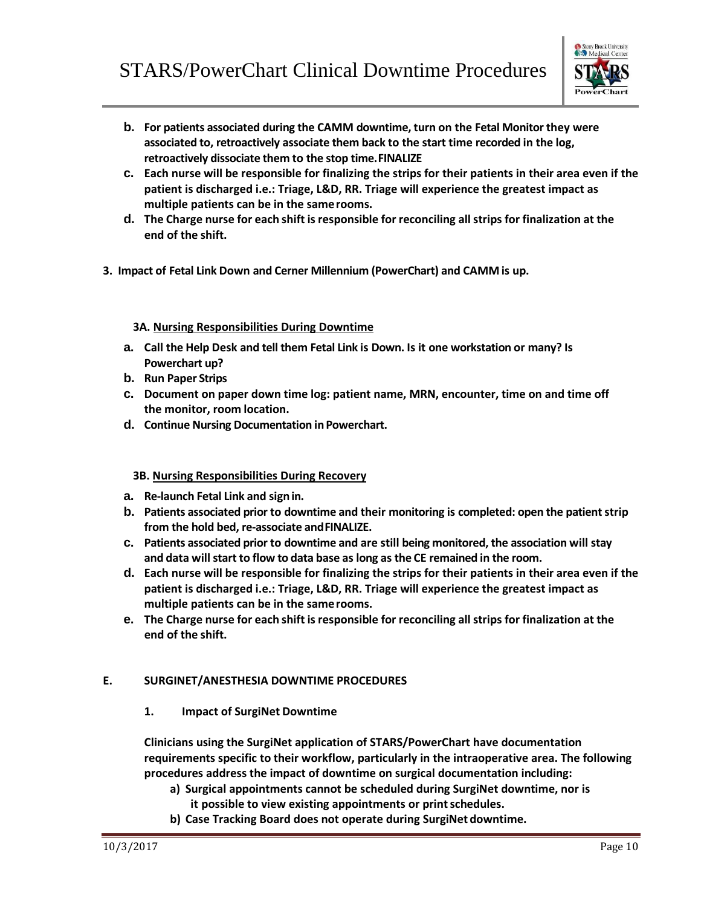

- **b. For patients associated during the CAMM downtime, turn on the Fetal Monitor they were associated to, retroactively associate them back to the start time recorded in the log, retroactively dissociate them to the stop time.FINALIZE**
- **c. Each nurse will be responsible for finalizing the strips for their patients in their area even if the patient is discharged i.e.: Triage, L&D, RR. Triage will experience the greatest impact as multiple patients can be in the samerooms.**
- **d. The Charge nurse for each shift isresponsible for reconciling all strips for finalization at the end of the shift.**
- **3. Impact of Fetal Link Down and Cerner Millennium (PowerChart) and CAMM is up.**

## **3A. Nursing Responsibilities During Downtime**

- **a. Call the Help Desk and tell them Fetal Link is Down. Is it one workstation or many? Is Powerchart up?**
- **b. Run Paper Strips**
- **c. Document on paper down time log: patient name, MRN, encounter, time on and time off the monitor, room location.**
- **d. Continue Nursing Documentation inPowerchart.**

## **3B. Nursing Responsibilities During Recovery**

- **a. Re-launch Fetal Link and signin.**
- **b. Patients associated prior to downtime and their monitoring is completed: open the patient strip from the hold bed, re-associate andFINALIZE.**
- **c. Patients associated prior to downtime and are still being monitored, the association will stay and data will start to flow to data base as long as the CE remained in the room.**
- **d. Each nurse will be responsible for finalizing the strips for their patients in their area even if the patient is discharged i.e.: Triage, L&D, RR. Triage will experience the greatest impact as multiple patients can be in the samerooms.**
- **e. The Charge nurse for each shift isresponsible for reconciling all strips for finalization at the end of the shift.**

## **E. SURGINET/ANESTHESIA DOWNTIME PROCEDURES**

**1. Impact of SurgiNet Downtime**

**Clinicians using the SurgiNet application of STARS/PowerChart have documentation requirements specific to their workflow, particularly in the intraoperative area. The following procedures address the impact of downtime on surgical documentation including:**

- **a) Surgical appointments cannot be scheduled during SurgiNet downtime, nor is it possible to view existing appointments or printschedules.**
- **b) Case Tracking Board does not operate during SurgiNet downtime.**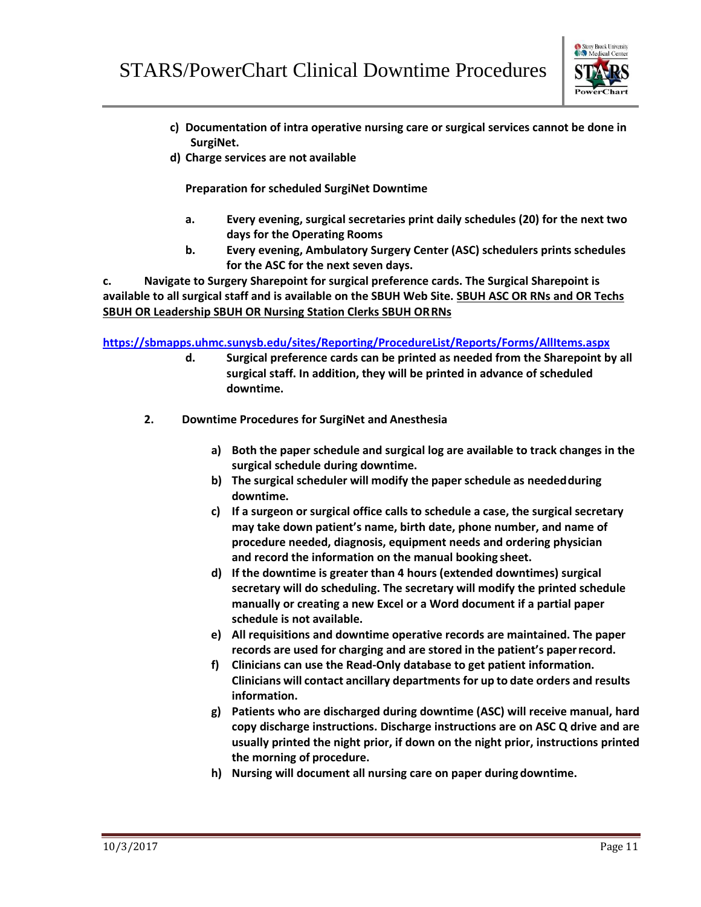

- **c) Documentation of intra operative nursing care or surgical services cannot be done in SurgiNet.**
- **d) Charge services are not available**

**Preparation for scheduled SurgiNet Downtime**

- **a. Every evening, surgical secretaries print daily schedules (20) for the next two days for the Operating Rooms**
- **b. Every evening, Ambulatory Surgery Center (ASC) schedulers prints schedules for the ASC for the next seven days.**

**c. Navigate to Surgery Sharepoint for surgical preference cards. The Surgical Sharepoint is available to all surgical staff and is available on the SBUH Web Site. [SBUH ASC OR RNs and OR Techs](http://sbumconline.uhmc.sunysb.edu/applications/prefcards/_layouts/listform.aspx?PageType=4&amp%3BListId=%7b3A299B62-A41C-43E1-9402-09FC1DB08433%7d&amp%3BID=12) [SBUH OR Leadership SBUH OR Nursing Station Clerks](http://sbumconline.uhmc.sunysb.edu/applications/prefcards/_layouts/listform.aspx?PageType=4&amp%3BListId=%7b3A299B62-A41C-43E1-9402-09FC1DB08433%7d&amp%3BID=10) [SBUH ORRNs](http://sbumconline.uhmc.sunysb.edu/applications/prefcards/_layouts/listform.aspx?PageType=4&amp%3BListId=%7b3A299B62-A41C-43E1-9402-09FC1DB08433%7d&amp%3BID=11)**

**<https://sbmapps.uhmc.sunysb.edu/sites/Reporting/ProcedureList/Reports/Forms/AllItems.aspx>**

- **d. Surgical preference cards can be printed as needed from the Sharepoint by all surgical staff. In addition, they will be printed in advance of scheduled downtime.**
- **2. Downtime Procedures for SurgiNet and Anesthesia**
	- **a) Both the paper schedule and surgical log are available to track changes in the surgical schedule during downtime.**
	- **b) The surgical scheduler will modify the paper schedule as neededduring downtime.**
	- **c) If a surgeon or surgical office calls to schedule a case, the surgical secretary may take down patient's name, birth date, phone number, and name of procedure needed, diagnosis, equipment needs and ordering physician and record the information on the manual booking sheet.**
	- **d) If the downtime is greater than 4 hours (extended downtimes) surgical secretary will do scheduling. The secretary will modify the printed schedule manually or creating a new Excel or a Word document if a partial paper schedule is not available.**
	- **e) All requisitions and downtime operative records are maintained. The paper records are used for charging and are stored in the patient's paperrecord.**
	- **f) Clinicians can use the Read-Only database to get patient information. Clinicians will contact ancillary departments for up to date orders and results information.**
	- **g) Patients who are discharged during downtime (ASC) will receive manual, hard copy discharge instructions. Discharge instructions are on ASC Q drive and are usually printed the night prior, if down on the night prior, instructions printed the morning of procedure.**
	- **h) Nursing will document all nursing care on paper during downtime.**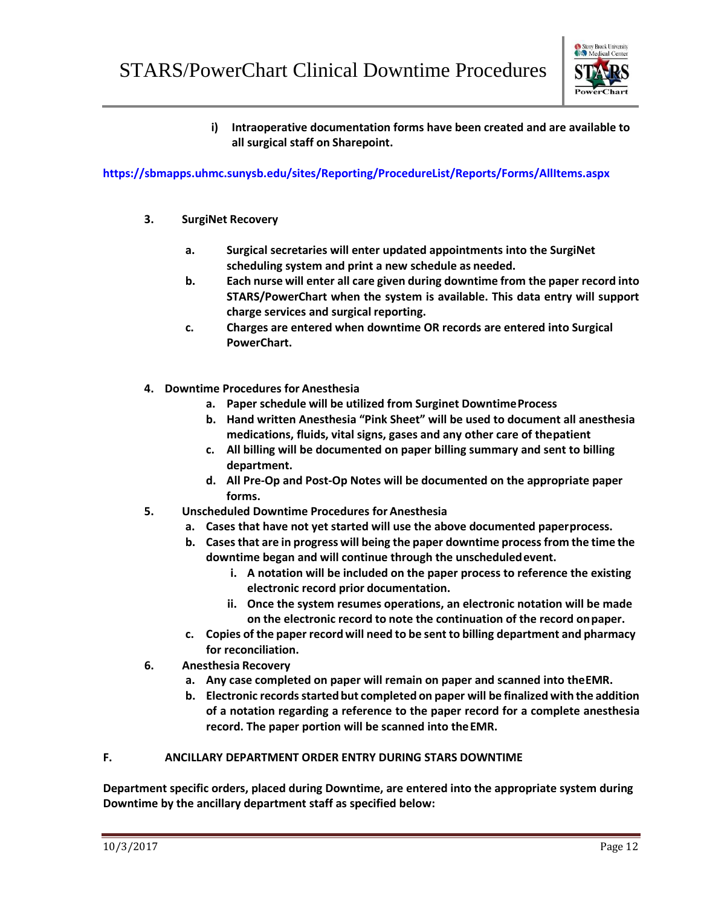

**i) Intraoperative documentation forms have been created and are available to all surgical staff on Sharepoint.**

## **<https://sbmapps.uhmc.sunysb.edu/sites/Reporting/ProcedureList/Reports/Forms/AllItems.aspx>**

- **3. SurgiNet Recovery**
	- **a. Surgical secretaries will enter updated appointments into the SurgiNet scheduling system and print a new schedule as needed.**
	- **b. Each nurse will enter all care given during downtime from the paper record into STARS/PowerChart when the system is available. This data entry will support charge services and surgical reporting.**
	- **c. Charges are entered when downtime OR records are entered into Surgical PowerChart.**
- **4. Downtime Procedures for Anesthesia**
	- **a. Paper schedule will be utilized from Surginet DowntimeProcess**
	- **b. Hand written Anesthesia "Pink Sheet" will be used to document all anesthesia medications, fluids, vital signs, gases and any other care of thepatient**
	- **c. All billing will be documented on paper billing summary and sent to billing department.**
	- **d. All Pre-Op and Post-Op Notes will be documented on the appropriate paper forms.**
- **5. Unscheduled Downtime Procedures for Anesthesia**
	- **a. Cases that have not yet started will use the above documented paperprocess.**
	- **b. Casesthat are in progress will being the paper downtime processfrom the time the downtime began and will continue through the unscheduledevent.**
		- **i. A notation will be included on the paper process to reference the existing electronic record prior documentation.**
		- **ii. Once the system resumes operations, an electronic notation will be made on the electronic record to note the continuation of the record onpaper.**
	- **c. Copies of the paper recordwill need to be sent to billing department and pharmacy for reconciliation.**
- **6. Anesthesia Recovery**
	- **a. Any case completed on paper will remain on paper and scanned into theEMR.**
	- **b. Electronic recordsstartedbut completed on paper will be finalized with the addition of a notation regarding a reference to the paper record for a complete anesthesia record. The paper portion will be scanned into theEMR.**

## **F. ANCILLARY DEPARTMENT ORDER ENTRY DURING STARS DOWNTIME**

**Department specific orders, placed during Downtime, are entered into the appropriate system during Downtime by the ancillary department staff as specified below:**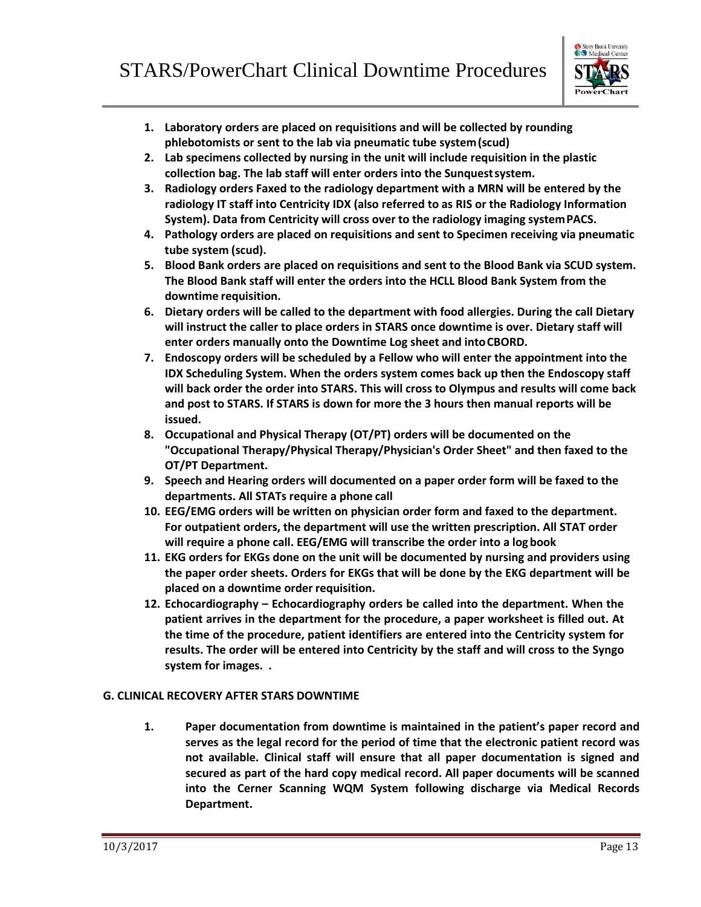

- **1. Laboratory orders are placed on requisitions and will be collected by rounding phlebotomists or sent to the lab via pneumatic tube system(scud)**
- **2. Lab specimens collected by nursing in the unit will include requisition in the plastic collection bag. The lab staff will enter orders into the Sunquestsystem.**
- **3. Radiology orders Faxed to the radiology department with a MRN will be entered by the radiology IT staff into Centricity IDX (also referred to as RIS or the Radiology Information System). Data from Centricity will cross over to the radiology imaging systemPACS.**
- **4. Pathology orders are placed on requisitions and sent to Specimen receiving via pneumatic tube system (scud).**
- **5. Blood Bank orders are placed on requisitions and sent to the Blood Bank via SCUD system. The Blood Bank staff will enter the orders into the HCLL Blood Bank System from the downtime requisition.**
- **6. Dietary orders will be called to the department with food allergies. During the call Dietary will instruct the caller to place orders in STARS once downtime is over. Dietary staff will enter orders manually onto the Downtime Log sheet and intoCBORD.**
- **7. Endoscopy orders will be scheduled by a Fellow who will enter the appointment into the IDX Scheduling System. When the orders system comes back up then the Endoscopy staff will back order the order into STARS. This will cross to Olympus and results will come back and post to STARS. If STARS is down for more the 3 hours then manual reports will be issued.**
- **8. Occupational and Physical Therapy (OT/PT) orders will be documented on the "Occupational Therapy/Physical Therapy/Physician's Order Sheet" and then faxed to the OT/PT Department.**
- **9. Speech and Hearing orders will documented on a paper order form will be faxed to the departments. All STATs require a phone call**
- **10. EEG/EMG orders will be written on physician order form and faxed to the department. For outpatient orders, the department will use the written prescription. All STAT order will require a phone call. EEG/EMG will transcribe the order into a logbook**
- **11. EKG orders for EKGs done on the unit will be documented by nursing and providers using the paper order sheets. Orders for EKGs that will be done by the EKG department will be placed on a downtime order requisition.**
- **12. Echocardiography – Echocardiography orders be called into the department. When the patient arrives in the department for the procedure, a paper worksheet is filled out. At the time of the procedure, patient identifiers are entered into the Centricity system for results. The order will be entered into Centricity by the staff and will cross to the Syngo system for images. .**

## **G. CLINICAL RECOVERY AFTER STARS DOWNTIME**

**1. Paper documentation from downtime is maintained in the patient's paper record and serves as the legal record for the period of time that the electronic patient record was not available. Clinical staff will ensure that all paper documentation is signed and secured as part of the hard copy medical record. All paper documents will be scanned into the Cerner Scanning WQM System following discharge via Medical Records Department.**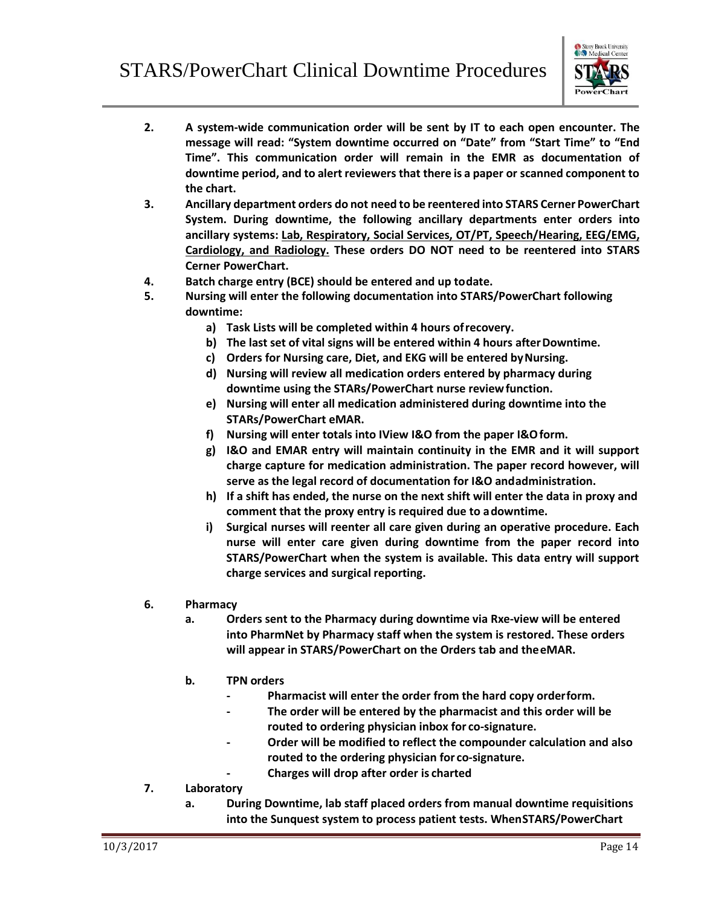

- **2. A system-wide communication order will be sent by IT to each open encounter. The message will read: "System downtime occurred on "Date" from "Start Time" to "End Time". This communication order will remain in the EMR as documentation of downtime period, and to alert reviewers that there is a paper or scanned component to the chart.**
- **3. Ancillary department orders do not need to be reentered into STARS Cerner PowerChart System. During downtime, the following ancillary departments enter orders into ancillary systems: Lab, Respiratory, Social Services, OT/PT, Speech/Hearing, EEG/EMG, Cardiology, and Radiology. These orders DO NOT need to be reentered into STARS Cerner PowerChart.**
- **4. Batch charge entry (BCE) should be entered and up todate.**
- **5. Nursing will enter the following documentation into STARS/PowerChart following downtime:**
	- **a) Task Lists will be completed within 4 hours ofrecovery.**
	- **b) The last set of vital signs will be entered within 4 hours afterDowntime.**
	- **c) Orders for Nursing care, Diet, and EKG will be entered byNursing.**
	- **d) Nursing will review all medication orders entered by pharmacy during downtime using the STARs/PowerChart nurse reviewfunction.**
	- **e) Nursing will enter all medication administered during downtime into the STARs/PowerChart eMAR.**
	- **f) Nursing will enter totals into IView I&O from the paper I&Oform.**
	- **g) I&O and EMAR entry will maintain continuity in the EMR and it will support charge capture for medication administration. The paper record however, will serve as the legal record of documentation for I&O andadministration.**
	- **h) If a shift has ended, the nurse on the next shift will enter the data in proxy and comment that the proxy entry is required due to adowntime.**
	- **i) Surgical nurses will reenter all care given during an operative procedure. Each nurse will enter care given during downtime from the paper record into STARS/PowerChart when the system is available. This data entry will support charge services and surgical reporting.**
- **6. Pharmacy**
	- **a. Orders sent to the Pharmacy during downtime via Rxe-view will be entered into PharmNet by Pharmacy staff when the system is restored. These orders will appear in STARS/PowerChart on the Orders tab and theeMAR.**
	- **b. TPN orders**
		- **- Pharmacist will enter the order from the hard copy orderform.**
		- **- The order will be entered by the pharmacist and this order will be routed to ordering physician inbox for co-signature.**
		- **- Order will be modified to reflect the compounder calculation and also routed to the ordering physician for co-signature.**
			- **- Charges will drop after order is charted**
- **7. Laboratory**
	- **a. During Downtime, lab staff placed orders from manual downtime requisitions into the Sunquest system to process patient tests. WhenSTARS/PowerChart**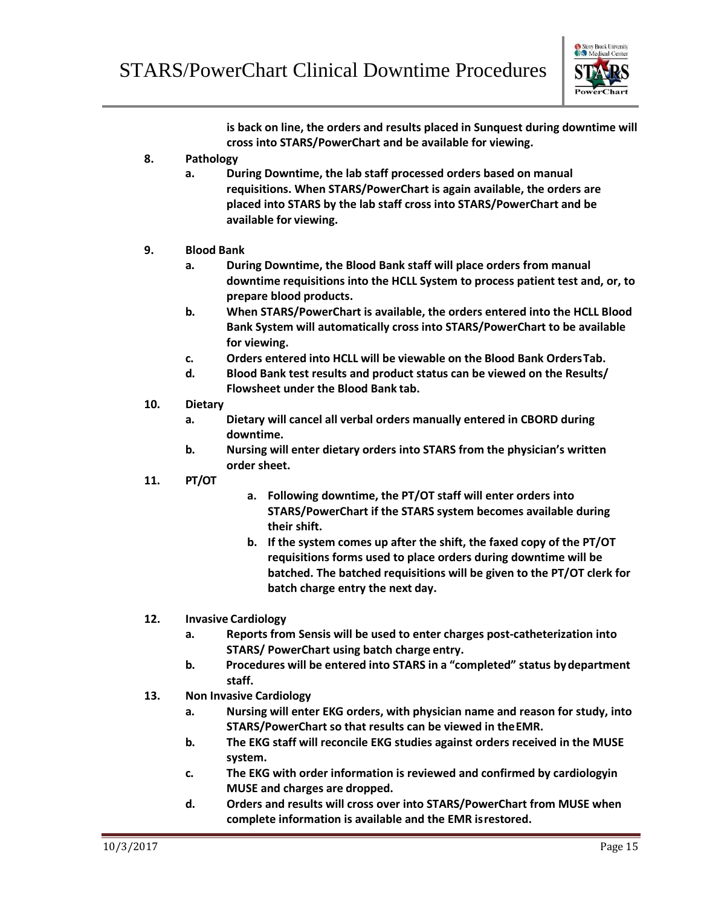

**is back on line, the orders and results placed in Sunquest during downtime will cross into STARS/PowerChart and be available for viewing.**

- **8. Pathology**
	- **a. During Downtime, the lab staff processed orders based on manual requisitions. When STARS/PowerChart is again available, the orders are placed into STARS by the lab staff cross into STARS/PowerChart and be available for viewing.**

## **9. Blood Bank**

- **a. During Downtime, the Blood Bank staff will place orders from manual downtime requisitions into the HCLL System to process patient test and, or, to prepare blood products.**
- **b. When STARS/PowerChart is available, the orders entered into the HCLL Blood Bank System will automatically cross into STARS/PowerChart to be available for viewing.**
- **c. Orders entered into HCLL will be viewable on the Blood Bank OrdersTab.**
- **d. Blood Bank test results and product status can be viewed on the Results/ Flowsheet under the Blood Bank tab.**
- **10. Dietary**
	- **a. Dietary will cancel all verbal orders manually entered in CBORD during downtime.**
	- **b. Nursing will enter dietary orders into STARS from the physician's written order sheet.**
- **11. PT/OT**
- **a. Following downtime, the PT/OT staff will enter orders into STARS/PowerChart if the STARS system becomes available during their shift.**
- **b. If the system comes up after the shift, the faxed copy of the PT/OT requisitions forms used to place orders during downtime will be batched. The batched requisitions will be given to the PT/OT clerk for batch charge entry the next day.**
- **12. Invasive Cardiology**
	- **a. Reports from Sensis will be used to enter charges post-catheterization into STARS/ PowerChart using batch charge entry.**
	- **b. Procedures will be entered into STARS in a "completed" status bydepartment staff.**
- **13. Non Invasive Cardiology**
	- **a. Nursing will enter EKG orders, with physician name and reason for study, into STARS/PowerChart so that results can be viewed in theEMR.**
	- **b. The EKG staff will reconcile EKG studies against orders received in the MUSE system.**
	- **c. The EKG with order information is reviewed and confirmed by cardiologyin MUSE and charges are dropped.**
	- **d. Orders and results will cross over into STARS/PowerChart from MUSE when complete information is available and the EMR isrestored.**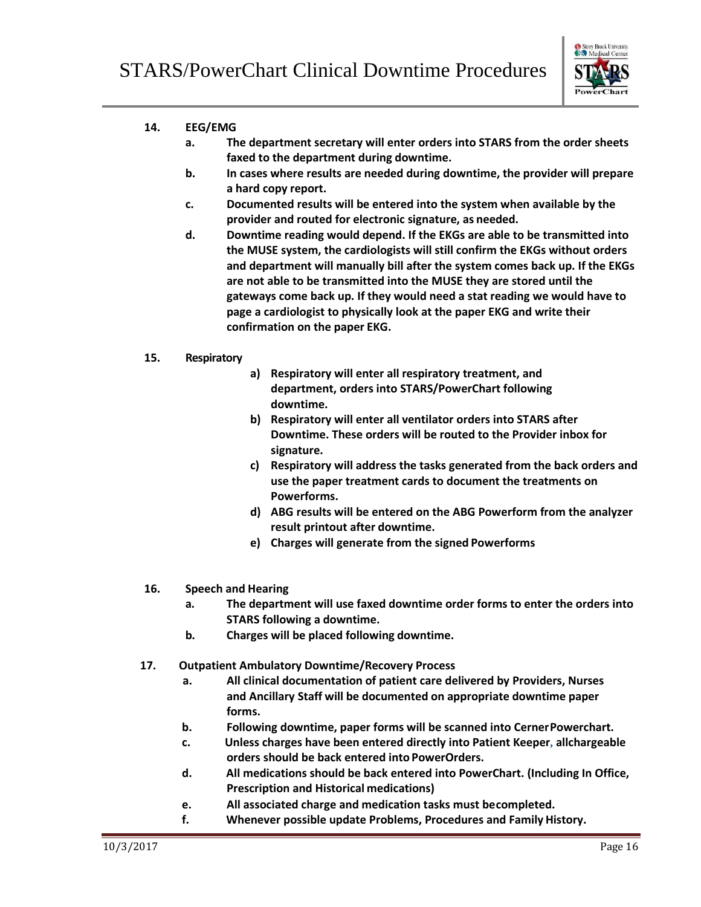

## **14. EEG/EMG**

- **a. The department secretary will enter orders into STARS from the order sheets faxed to the department during downtime.**
- **b. In cases where results are needed during downtime, the provider will prepare a hard copy report.**
- **c. Documented results will be entered into the system when available by the provider and routed for electronic signature, as needed.**
- **d. Downtime reading would depend. If the EKGs are able to be transmitted into the MUSE system, the cardiologists will still confirm the EKGs without orders and department will manually bill after the system comes back up. If the EKGs are not able to be transmitted into the MUSE they are stored until the gateways come back up. If they would need a stat reading we would have to page a cardiologist to physically look at the paper EKG and write their confirmation on the paper EKG.**

## **15. Respiratory**

- **a) Respiratory will enter all respiratory treatment, and department, orders into STARS/PowerChart following downtime.**
- **b) Respiratory will enter all ventilator orders into STARS after Downtime. These orders will be routed to the Provider inbox for signature.**
- **c) Respiratory will address the tasks generated from the back orders and use the paper treatment cards to document the treatments on Powerforms.**
- **d) ABG results will be entered on the ABG Powerform from the analyzer result printout after downtime.**
- **e) Charges will generate from the signed Powerforms**

## **16. Speech and Hearing**

- **a. The department will use faxed downtime order forms to enter the orders into STARS following a downtime.**
- **b. Charges will be placed following downtime.**
- **17. Outpatient Ambulatory Downtime/Recovery Process**
	- **a. All clinical documentation of patient care delivered by Providers, Nurses and Ancillary Staff will be documented on appropriate downtime paper forms.**
	- **b. Following downtime, paper forms will be scanned into CernerPowerchart.**
	- **c. Unless charges have been entered directly into Patient Keeper, allchargeable orders should be back entered into PowerOrders.**
	- **d. All medications should be back entered into PowerChart. (Including In Office, Prescription and Historical medications)**
	- **e. All associated charge and medication tasks must becompleted.**
	- **f. Whenever possible update Problems, Procedures and Family History.**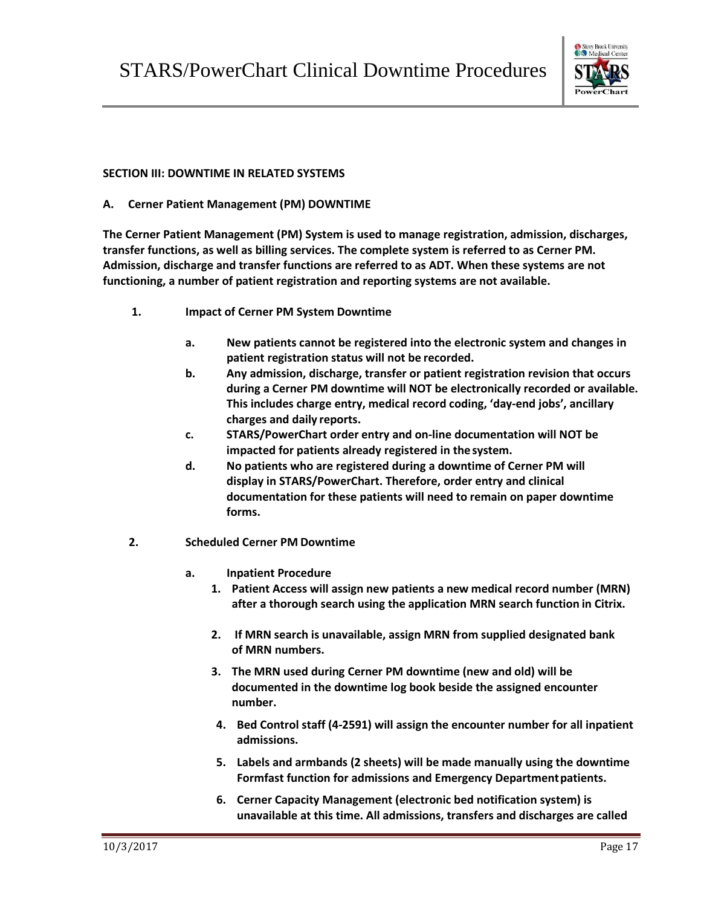

## **SECTION III: DOWNTIME IN RELATED SYSTEMS**

**A. Cerner Patient Management (PM) DOWNTIME**

**The Cerner Patient Management (PM) System is used to manage registration, admission, discharges, transfer functions, as well as billing services. The complete system is referred to as Cerner PM. Admission, discharge and transfer functions are referred to as ADT. When these systems are not functioning, a number of patient registration and reporting systems are not available.**

- **1. Impact of Cerner PM System Downtime**
	- **a. New patients cannot be registered into the electronic system and changes in patient registration status will not be recorded.**
	- **b. Any admission, discharge, transfer or patient registration revision that occurs during a Cerner PM downtime will NOT be electronically recorded or available. This includes charge entry, medical record coding, 'day-end jobs', ancillary charges and daily reports.**
	- **c. STARS/PowerChart order entry and on-line documentation will NOT be impacted for patients already registered in thesystem.**
	- **d. No patients who are registered during a downtime of Cerner PM will display in STARS/PowerChart. Therefore, order entry and clinical documentation for these patients will need to remain on paper downtime forms.**
- **2. Scheduled Cerner PM Downtime**
	- **a. Inpatient Procedure**
		- **1. Patient Access will assign new patients a new medical record number (MRN) after a thorough search using the application MRN search function in Citrix.**
		- **2. If MRN search is unavailable, assign MRN from supplied designated bank of MRN numbers.**
		- **3. The MRN used during Cerner PM downtime (new and old) will be documented in the downtime log book beside the assigned encounter number.**
		- **4. Bed Control staff (4-2591) will assign the encounter number for all inpatient admissions.**
		- **5. Labels and armbands (2 sheets) will be made manually using the downtime Formfast function for admissions and Emergency Departmentpatients.**
		- **6. Cerner Capacity Management (electronic bed notification system) is unavailable at this time. All admissions, transfers and discharges are called**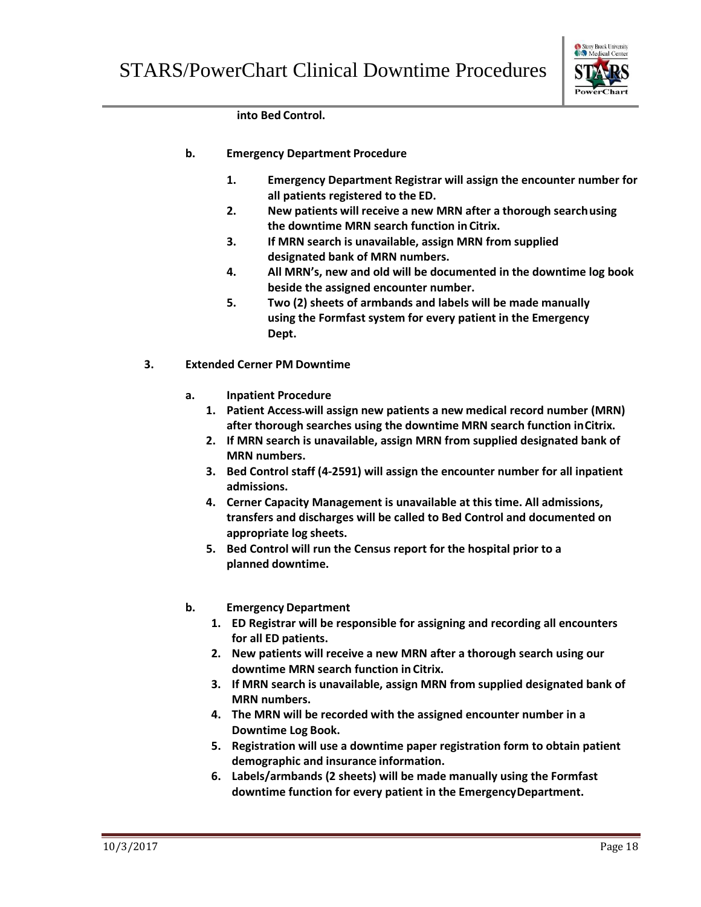

**into Bed Control.**

- **b. Emergency Department Procedure**
	- **1. Emergency Department Registrar will assign the encounter number for all patients registered to the ED.**
	- **2. New patients will receive a new MRN after a thorough searchusing the downtime MRN search function in Citrix.**
	- **3. If MRN search is unavailable, assign MRN from supplied designated bank of MRN numbers.**
	- **4. All MRN's, new and old will be documented in the downtime log book beside the assigned encounter number.**
	- **5. Two (2) sheets of armbands and labels will be made manually using the Formfast system for every patient in the Emergency Dept.**
- **3. Extended Cerner PM Downtime**
	- **a. Inpatient Procedure**
		- **1. Patient Access will assign new patients a new medical record number (MRN) after thorough searches using the downtime MRN search function inCitrix.**
		- **2. If MRN search is unavailable, assign MRN from supplied designated bank of MRN numbers.**
		- **3. Bed Control staff (4-2591) will assign the encounter number for all inpatient admissions.**
		- **4. Cerner Capacity Management is unavailable at this time. All admissions, transfers and discharges will be called to Bed Control and documented on appropriate log sheets.**
		- **5. Bed Control will run the Census report for the hospital prior to a planned downtime.**
	- **b. Emergency Department**
		- **1. ED Registrar will be responsible for assigning and recording all encounters for all ED patients.**
		- **2. New patients will receive a new MRN after a thorough search using our downtime MRN search function in Citrix.**
		- **3. If MRN search is unavailable, assign MRN from supplied designated bank of MRN numbers.**
		- **4. The MRN will be recorded with the assigned encounter number in a Downtime Log Book.**
		- **5. Registration will use a downtime paper registration form to obtain patient demographic and insurance information.**
		- **6. Labels/armbands (2 sheets) will be made manually using the Formfast downtime function for every patient in the EmergencyDepartment.**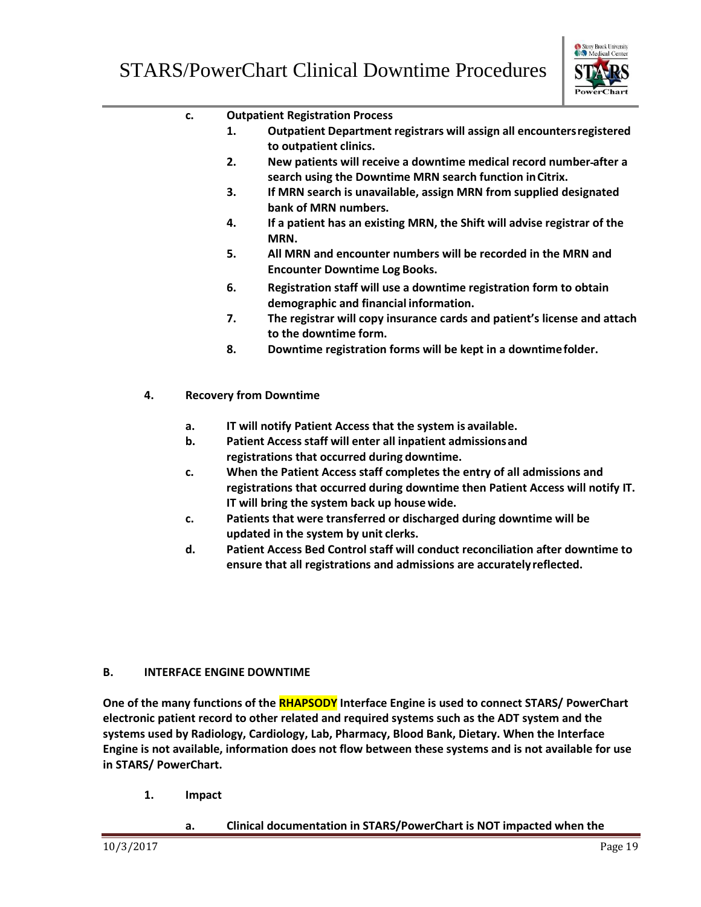

|    | c. |    | <b>Outpatient Registration Process</b>                                                                                                                                                                     |
|----|----|----|------------------------------------------------------------------------------------------------------------------------------------------------------------------------------------------------------------|
|    |    | 1. | Outpatient Department registrars will assign all encounters registered<br>to outpatient clinics.                                                                                                           |
|    |    | 2. | New patients will receive a downtime medical record number-after a<br>search using the Downtime MRN search function in Citrix.                                                                             |
|    |    | 3. | If MRN search is unavailable, assign MRN from supplied designated<br>bank of MRN numbers.                                                                                                                  |
|    |    | 4. | If a patient has an existing MRN, the Shift will advise registrar of the<br>MRN.                                                                                                                           |
|    |    | 5. | All MRN and encounter numbers will be recorded in the MRN and<br><b>Encounter Downtime Log Books.</b>                                                                                                      |
|    |    | 6. | Registration staff will use a downtime registration form to obtain<br>demographic and financial information.                                                                                               |
|    |    | 7. | The registrar will copy insurance cards and patient's license and attach<br>to the downtime form.                                                                                                          |
|    |    | 8. | Downtime registration forms will be kept in a downtime folder.                                                                                                                                             |
| 4. |    |    | <b>Recovery from Downtime</b>                                                                                                                                                                              |
|    | a. |    | IT will notify Patient Access that the system is available.                                                                                                                                                |
|    | b. |    | Patient Access staff will enter all inpatient admissions and<br>registrations that occurred during downtime.                                                                                               |
|    | c. |    | When the Patient Access staff completes the entry of all admissions and<br>registrations that occurred during downtime then Patient Access will notify IT.<br>IT will bring the system back up house wide. |
|    | c. |    | Patients that were transferred or discharged during downtime will be<br>updated in the system by unit clerks.                                                                                              |

**d. Patient Access Bed Control staff will conduct reconciliation after downtime to ensure that all registrations and admissions are accuratelyreflected.**

## **B. INTERFACE ENGINE DOWNTIME**

**One of the many functions of the RHAPSODY Interface Engine is used to connect STARS/ PowerChart electronic patient record to other related and required systems such as the ADT system and the systems used by Radiology, Cardiology, Lab, Pharmacy, Blood Bank, Dietary. When the Interface Engine is not available, information does not flow between these systems and is not available for use in STARS/ PowerChart.**

**1. Impact**

## **a. Clinical documentation in STARS/PowerChart is NOT impacted when the**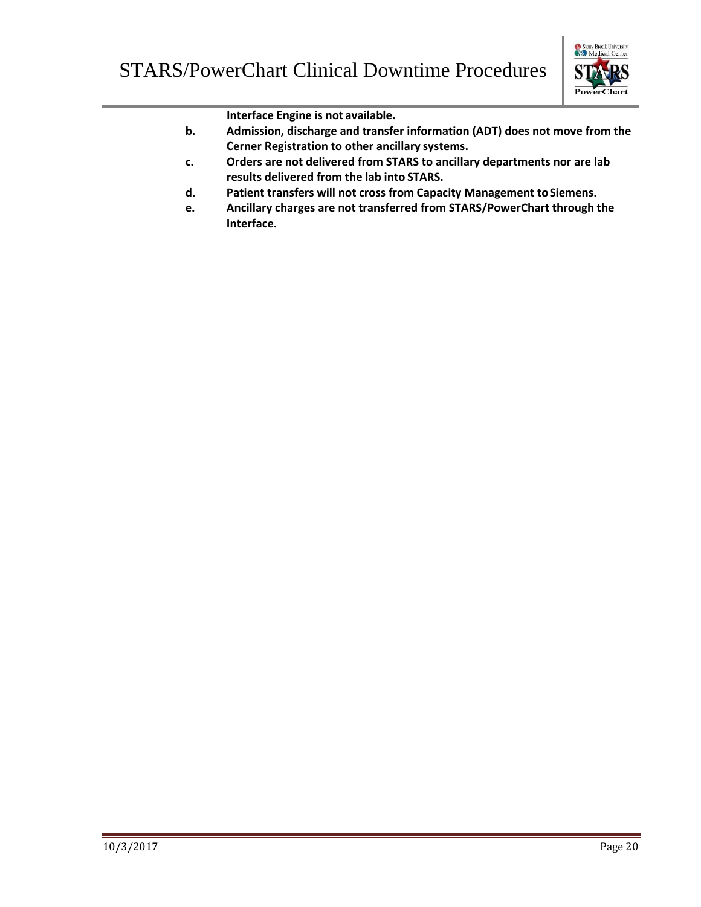

**Interface Engine is not available.**

- **b. Admission, discharge and transfer information (ADT) does not move from the Cerner Registration to other ancillary systems.**
- **c. Orders are not delivered from STARS to ancillary departments nor are lab results delivered from the lab into STARS.**
- **d. Patient transfers will not cross from Capacity Management toSiemens.**
- **e. Ancillary charges are not transferred from STARS/PowerChart through the Interface.**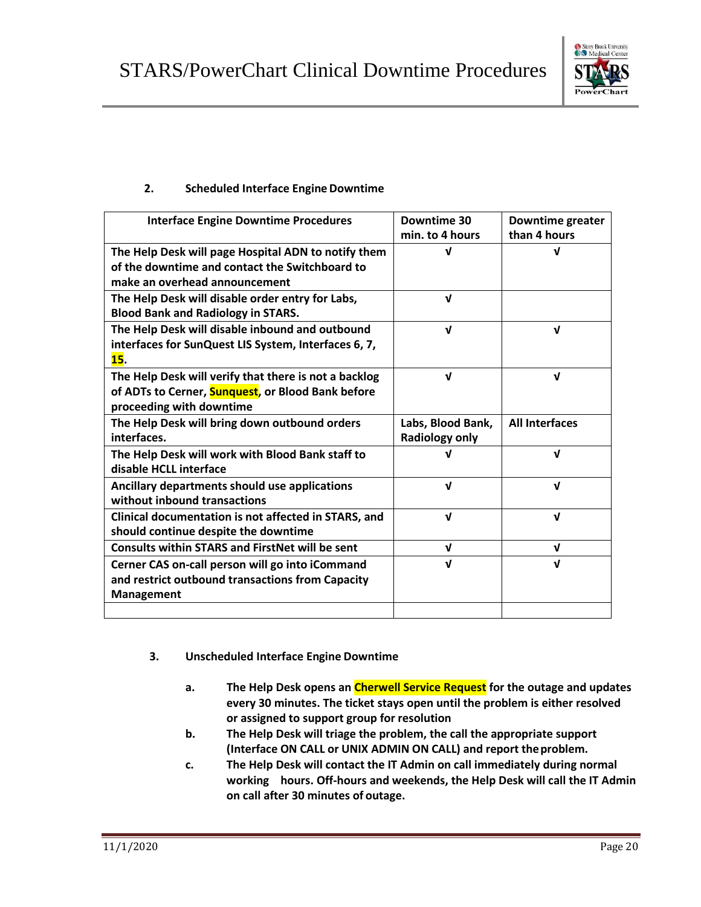

## **2. Scheduled Interface Engine Downtime**

| <b>Interface Engine Downtime Procedures</b>                                                                                            | Downtime 30<br>min. to 4 hours             | <b>Downtime greater</b><br>than 4 hours |
|----------------------------------------------------------------------------------------------------------------------------------------|--------------------------------------------|-----------------------------------------|
| The Help Desk will page Hospital ADN to notify them<br>of the downtime and contact the Switchboard to<br>make an overhead announcement | v                                          | J                                       |
| The Help Desk will disable order entry for Labs,<br><b>Blood Bank and Radiology in STARS.</b>                                          | $\mathbf{v}$                               |                                         |
| The Help Desk will disable inbound and outbound<br>interfaces for SunQuest LIS System, Interfaces 6, 7,<br>15.                         | $\mathbf{v}$                               | $\mathbf{v}$                            |
| The Help Desk will verify that there is not a backlog<br>of ADTs to Cerner, Sunquest, or Blood Bank before<br>proceeding with downtime | $\mathbf{v}$                               | $\mathbf{v}$                            |
| The Help Desk will bring down outbound orders<br>interfaces.                                                                           | Labs, Blood Bank,<br><b>Radiology only</b> | <b>All Interfaces</b>                   |
| The Help Desk will work with Blood Bank staff to<br>disable HCLL interface                                                             | J                                          | $\mathbf{v}$                            |
| Ancillary departments should use applications<br>without inhound transactions                                                          | $\mathbf{v}$                               | $\mathbf{v}$                            |
| Clinical documentation is not affected in STARS, and<br>should continue despite the downtime                                           | $\mathbf{v}$                               | $\mathbf{v}$                            |
| <b>Consults within STARS and FirstNet will be sent</b>                                                                                 | $\mathbf v$                                | $\mathbf{v}$                            |
| Cerner CAS on-call person will go into iCommand<br>and restrict outbound transactions from Capacity<br><b>Management</b>               | $\mathbf{v}$                               | $\mathbf{v}$                            |
|                                                                                                                                        |                                            |                                         |

- **3. Unscheduled Interface Engine Downtime**
	- **a. The Help Desk opens an Cherwell Service Request for the outage and updates every 30 minutes. The ticket stays open until the problem is either resolved or assigned to support group for resolution**
	- **b. The Help Desk will triage the problem, the call the appropriate support (Interface ON CALL or UNIX ADMIN ON CALL) and report theproblem.**
	- **c. The Help Desk will contact the IT Admin on call immediately during normal working hours. Off-hours and weekends, the Help Desk will call the IT Admin on call after 30 minutes of outage.**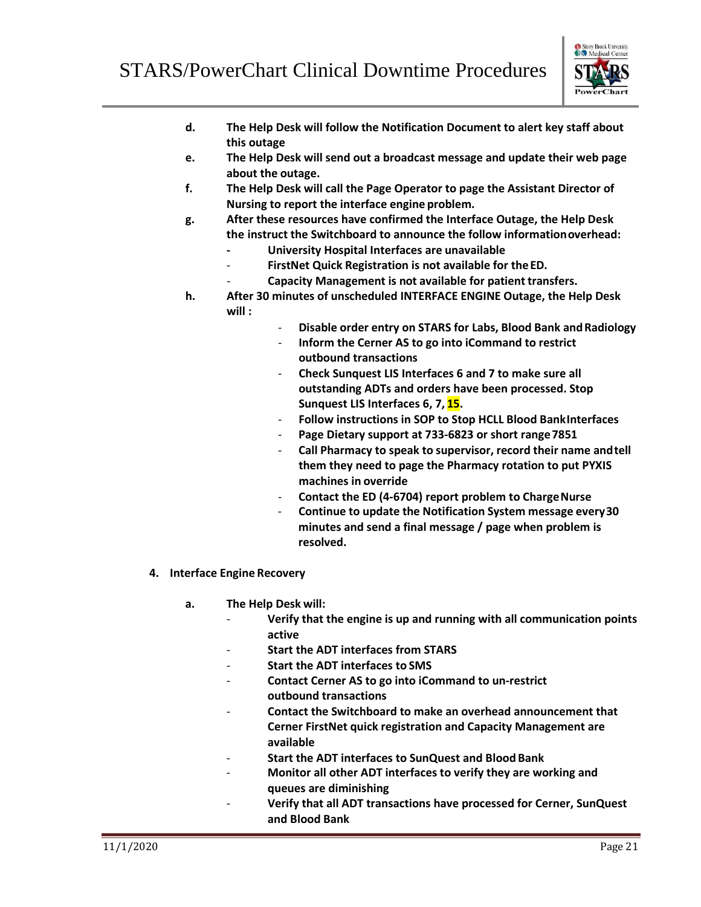

- **d. The Help Desk will follow the Notification Document to alert key staff about this outage**
- **e. The Help Desk will send out a broadcast message and update their web page about the outage.**
- **f. The Help Desk will call the Page Operator to page the Assistant Director of Nursing to report the interface engine problem.**
- **g. After these resources have confirmed the Interface Outage, the Help Desk the instruct the Switchboard to announce the follow informationoverhead:**
	- **- University Hospital Interfaces are unavailable**
	- **FirstNet Quick Registration is not available for theED.**
	- **Capacity Management is not available for patient transfers.**
- **h. After 30 minutes of unscheduled INTERFACE ENGINE Outage, the Help Desk will :**
	- **Disable order entry on STARS for Labs, Blood Bank andRadiology**
	- **Inform the Cerner AS to go into iCommand to restrict outbound transactions**
	- **Check Sunquest LIS Interfaces 6 and 7 to make sure all outstanding ADTs and orders have been processed. Stop Sunquest LIS Interfaces 6, 7, 15.**
	- **Follow instructions in SOP to Stop HCLL Blood BankInterfaces**
	- Page Dietary support at 733-6823 or short range 7851
	- **Call Pharmacy to speak to supervisor, record their name andtell them they need to page the Pharmacy rotation to put PYXIS machines in override**
	- **Contact the ED (4-6704) report problem to ChargeNurse**
	- **Continue to update the Notification System message every30 minutes and send a final message / page when problem is resolved.**
- **4. Interface Engine Recovery**
	- **a. The Help Desk will:**
		- **Verify that the engine is up and running with all communication points active**
		- **Start the ADT interfaces from STARS**
		- **Start the ADT interfaces to SMS**
		- **Contact Cerner AS to go into iCommand to un-restrict outbound transactions**
		- **Contact the Switchboard to make an overhead announcement that Cerner FirstNet quick registration and Capacity Management are available**
		- **Start the ADT interfaces to SunQuest and Blood Bank**
		- **Monitor all other ADT interfaces to verify they are working and queues are diminishing**
		- **Verify that all ADT transactions have processed for Cerner, SunQuest and Blood Bank**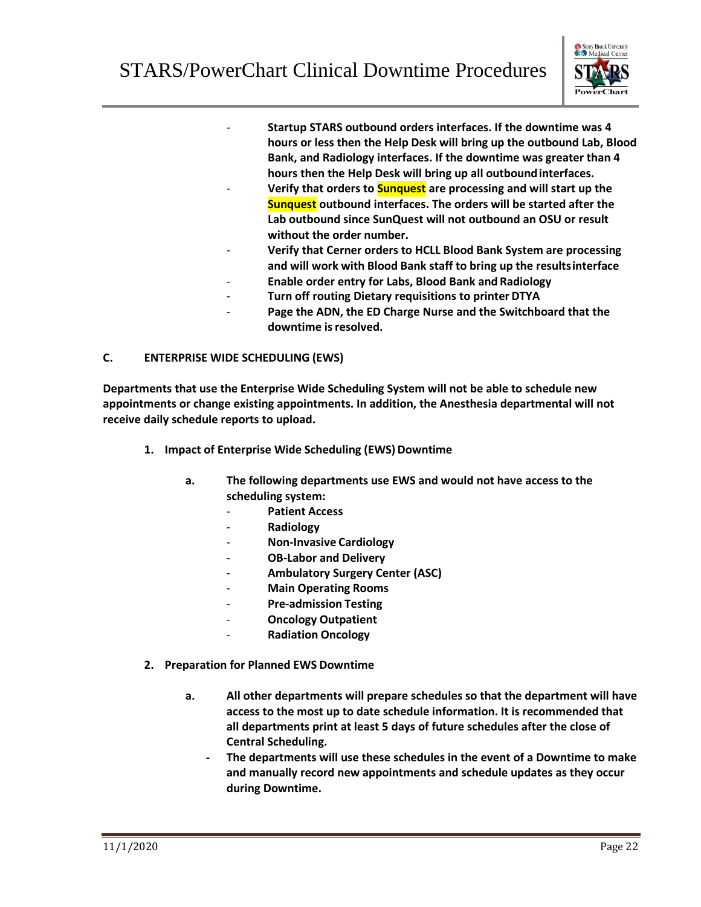

- **Startup STARS outbound orders interfaces. If the downtime was 4 hours or less then the Help Desk will bring up the outbound Lab, Blood Bank, and Radiology interfaces. If the downtime was greater than 4 hours then the Help Desk will bring up all outboundinterfaces.**
- **Verify that orders to Sunquest are processing and will start up the Sunquest outbound interfaces. The orders will be started after the Lab outbound since SunQuest will not outbound an OSU or result without the order number.**
- **Verify that Cerner orders to HCLL Blood Bank System are processing and will work with Blood Bank staff to bring up the resultsinterface**
- **Enable order entry for Labs, Blood Bank and Radiology**
- **Turn off routing Dietary requisitions to printer DTYA**
- Page the ADN, the ED Charge Nurse and the Switchboard that the **downtime isresolved.**

## **C. ENTERPRISE WIDE SCHEDULING (EWS)**

**Departments that use the Enterprise Wide Scheduling System will not be able to schedule new appointments or change existing appointments. In addition, the Anesthesia departmental will not receive daily schedule reports to upload.**

- **1. Impact of Enterprise Wide Scheduling (EWS) Downtime** 
	- **a. The following departments use EWS and would not have access to the scheduling system:**
		- **Patient Access**
		- **Radiology**
		- **Non-Invasive Cardiology**
		- **OB-Labor and Delivery**
		- **Ambulatory Surgery Center (ASC)**
		- **Main Operating Rooms**
		- **Pre-admission Testing**
		- **Oncology Outpatient**
		- **Radiation Oncology**
- **2. Preparation for Planned EWS Downtime**
	- **a. All other departments will prepare schedules so that the department will have access to the most up to date schedule information. It is recommended that all departments print at least 5 days of future schedules after the close of Central Scheduling.**
		- **- The departments will use these schedules in the event of a Downtime to make and manually record new appointments and schedule updates as they occur during Downtime.**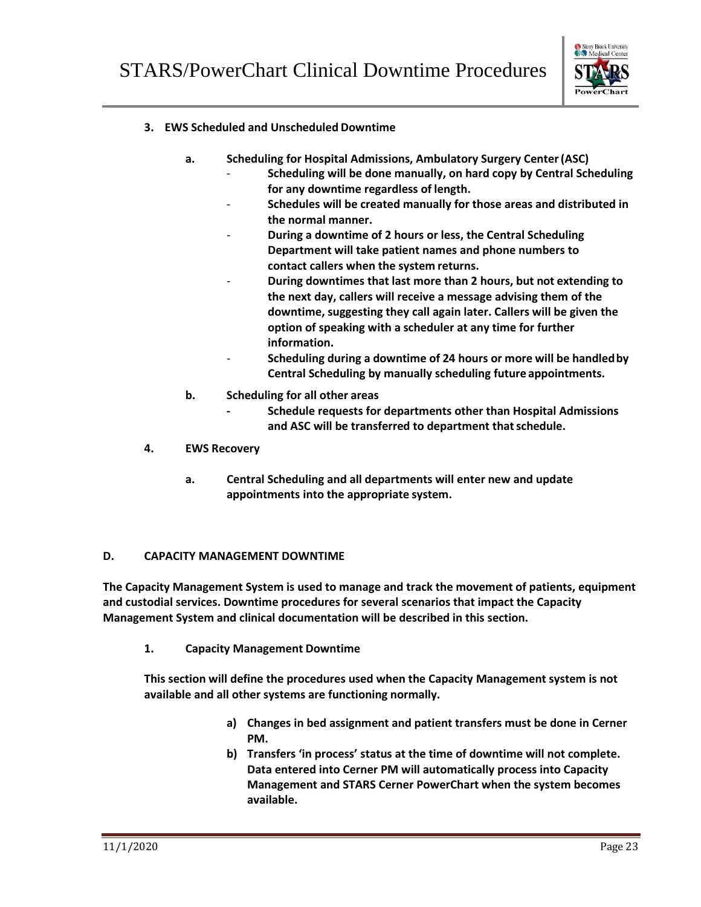

## **3. EWS Scheduled and Unscheduled Downtime**

- **a. Scheduling for Hospital Admissions, Ambulatory Surgery Center(ASC)**
	- **Scheduling will be done manually, on hard copy by Central Scheduling for any downtime regardless of length.**
	- **Schedules will be created manually for those areas and distributed in the normal manner.**
	- **During a downtime of 2 hours or less, the Central Scheduling Department will take patient names and phone numbers to contact callers when the system returns.**
		- **During downtimes that last more than 2 hours, but not extending to the next day, callers will receive a message advising them of the downtime, suggesting they call again later. Callers will be given the option of speaking with a scheduler at any time for further information.**
	- **Scheduling during a downtime of 24 hours or more will be handledby Central Scheduling by manually scheduling future appointments.**
- **b. Scheduling for all other areas**
	- **- Schedule requests for departments other than Hospital Admissions and ASC will be transferred to department thatschedule.**
- **4. EWS Recovery**
	- **a. Central Scheduling and all departments will enter new and update appointments into the appropriate system.**

## **D. CAPACITY MANAGEMENT DOWNTIME**

**The Capacity Management System is used to manage and track the movement of patients, equipment and custodial services. Downtime procedures for several scenarios that impact the Capacity Management System and clinical documentation will be described in this section.**

**1. Capacity Management Downtime**

**This section will define the procedures used when the Capacity Management system is not available and all other systems are functioning normally.**

- **a) Changes in bed assignment and patient transfers must be done in Cerner PM.**
- **b) Transfers 'in process' status at the time of downtime will not complete. Data entered into Cerner PM will automatically process into Capacity Management and STARS Cerner PowerChart when the system becomes available.**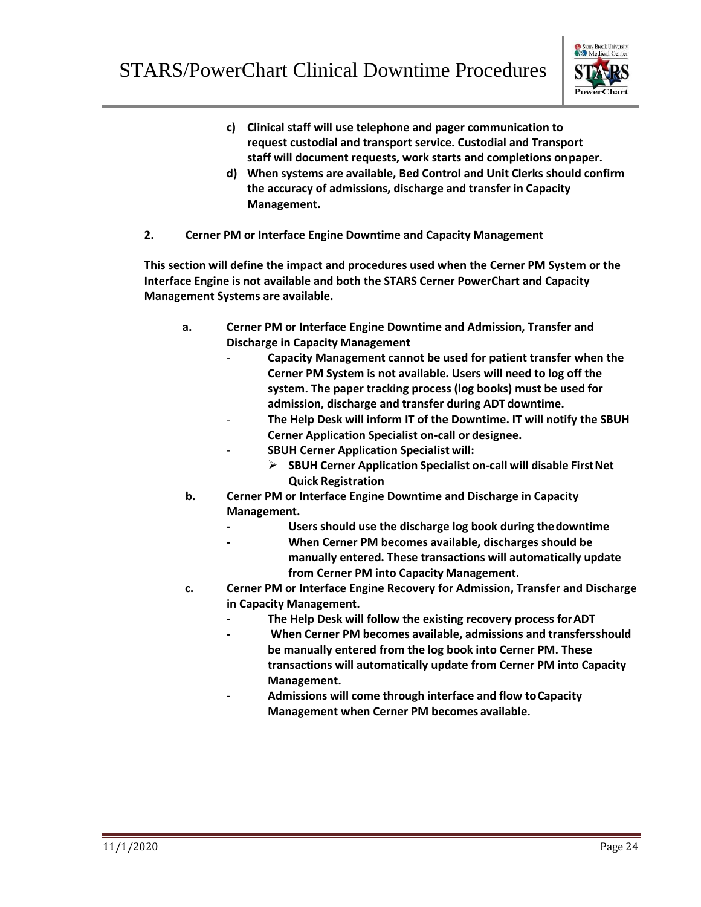![](_page_25_Picture_1.jpeg)

- **c) Clinical staff will use telephone and pager communication to request custodial and transport service. Custodial and Transport staff will document requests, work starts and completions onpaper.**
- **d) When systems are available, Bed Control and Unit Clerks should confirm the accuracy of admissions, discharge and transfer in Capacity Management.**
- **2. Cerner PM or Interface Engine Downtime and Capacity Management**

**This section will define the impact and procedures used when the Cerner PM System or the Interface Engine is not available and both the STARS Cerner PowerChart and Capacity Management Systems are available.**

- **a. Cerner PM or Interface Engine Downtime and Admission, Transfer and Discharge in Capacity Management**
	- **Capacity Management cannot be used for patient transfer when the Cerner PM System is not available. Users will need to log off the system. The paper tracking process (log books) must be used for admission, discharge and transfer during ADT downtime.**
	- **The Help Desk will inform IT of the Downtime. IT will notify the SBUH Cerner Application Specialist on-call or designee.**
		- **SBUH Cerner Application Specialist will:**
			- **SBUH Cerner Application Specialist on-call will disable FirstNet Quick Registration**
- **b. Cerner PM or Interface Engine Downtime and Discharge in Capacity Management.**
	- **- Users should use the discharge log book during thedowntime**
	- **- When Cerner PM becomes available, discharges should be** 
		- **manually entered. These transactions will automatically update from Cerner PM into Capacity Management.**
- **c. Cerner PM or Interface Engine Recovery for Admission, Transfer and Discharge in Capacity Management.**
	- **- The Help Desk will follow the existing recovery process forADT**
	- **- When Cerner PM becomes available, admissions and transfersshould be manually entered from the log book into Cerner PM. These transactions will automatically update from Cerner PM into Capacity Management.**
	- **- Admissions will come through interface and flow toCapacity Management when Cerner PM becomes available.**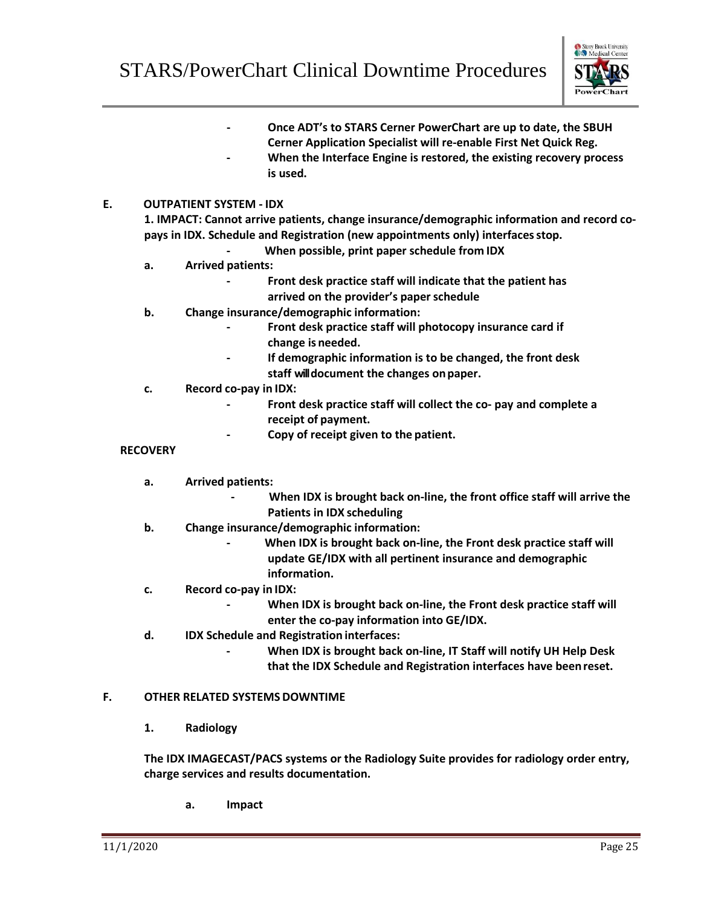![](_page_26_Picture_1.jpeg)

**- Once ADT's to STARS Cerner PowerChart are up to date, the SBUH Cerner Application Specialist will re-enable First Net Quick Reg. - When the Interface Engine is restored, the existing recovery process is used.**

## **E. OUTPATIENT SYSTEM - IDX**

**1. IMPACT: Cannot arrive patients, change insurance/demographic information and record copays in IDX. Schedule and Registration (new appointments only) interfacesstop.**

- **- When possible, print paper schedule from IDX**
- **a. Arrived patients:**
	- **- Front desk practice staff will indicate that the patient has arrived on the provider's paperschedule**
- **b. Change insurance/demographic information:**
	- **- Front desk practice staff will photocopy insurance card if change is needed.**
	- **- If demographic information is to be changed, the front desk staff willdocument the changes onpaper.**
- **c. Record co-pay in IDX:**
	- **- Front desk practice staff will collect the co- pay and complete a receipt of payment.**
	- **- Copy of receipt given to the patient.**

#### **RECOVERY**

- **a. Arrived patients:**
	- **- When IDX is brought back on-line, the front office staff will arrive the Patients in IDX scheduling**
- **b. Change insurance/demographic information:**
	- **- When IDX is brought back on-line, the Front desk practice staff will update GE/IDX with all pertinent insurance and demographic information.**
- **c. Record co-pay in IDX:**
	- **- When IDX is brought back on-line, the Front desk practice staff will enter the co-pay information into GE/IDX.**
- **d. IDX Schedule and Registration interfaces:**
	- **- When IDX is brought back on-line, IT Staff will notify UH Help Desk that the IDX Schedule and Registration interfaces have beenreset.**

## **F. OTHER RELATED SYSTEMS DOWNTIME**

**1. Radiology**

**The IDX IMAGECAST/PACS systems or the Radiology Suite provides for radiology order entry, charge services and results documentation.**

**a. Impact**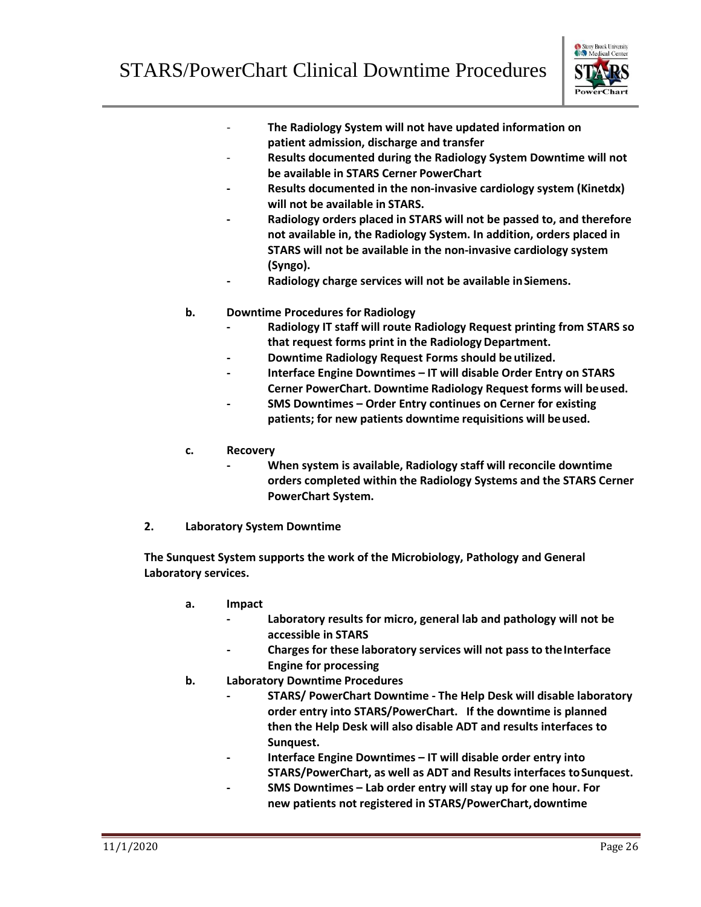![](_page_27_Picture_1.jpeg)

- **The Radiology System will not have updated information on patient admission, discharge and transfer**
- **Results documented during the Radiology System Downtime will not be available in STARS Cerner PowerChart**
- **- Results documented in the non-invasive cardiology system (Kinetdx) will not be available in STARS.**
- **- Radiology orders placed in STARS will not be passed to, and therefore not available in, the Radiology System. In addition, orders placed in STARS will not be available in the non-invasive cardiology system (Syngo).**
- **- Radiology charge services will not be available inSiemens.**
- **b. Downtime Procedures for Radiology**
	- **- Radiology IT staff will route Radiology Request printing from STARS so that request forms print in the Radiology Department.**
	- **- Downtime Radiology Request Forms should be utilized.**
	- **- Interface Engine Downtimes – IT will disable Order Entry on STARS Cerner PowerChart. Downtime Radiology Request forms will beused.**
	- **- SMS Downtimes – Order Entry continues on Cerner for existing patients; for new patients downtime requisitions will beused.**
- **c. Recovery**
	- **- When system is available, Radiology staff will reconcile downtime orders completed within the Radiology Systems and the STARS Cerner PowerChart System.**
- **2. Laboratory System Downtime**

**The Sunquest System supports the work of the Microbiology, Pathology and General Laboratory services.**

- **a. Impact**
	- **- Laboratory results for micro, general lab and pathology will not be accessible in STARS**
	- **- Charges for these laboratory services will not pass to theInterface Engine for processing**
- **b. Laboratory Downtime Procedures**
	- **- STARS/ PowerChart Downtime - The Help Desk will disable laboratory order entry into STARS/PowerChart. If the downtime is planned then the Help Desk will also disable ADT and results interfaces to Sunquest.**
	- **- Interface Engine Downtimes – IT will disable order entry into STARS/PowerChart, as well as ADT and Results interfaces toSunquest.**
	- **- SMS Downtimes – Lab order entry will stay up for one hour. For new patients not registered in STARS/PowerChart,downtime**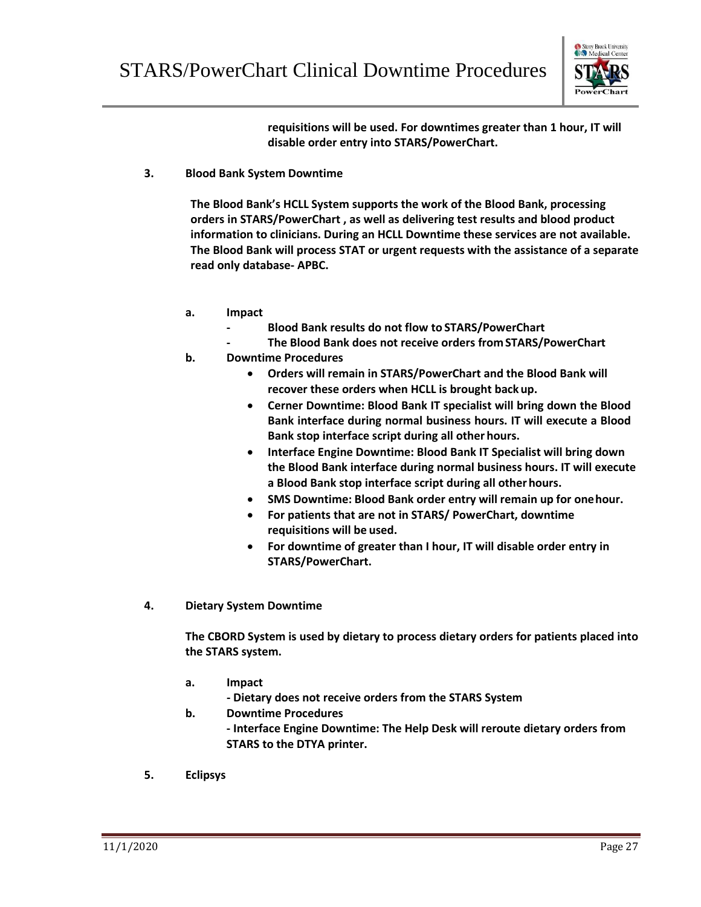![](_page_28_Picture_1.jpeg)

**requisitions will be used. For downtimes greater than 1 hour, IT will disable order entry into STARS/PowerChart.**

**3. Blood Bank System Downtime**

**The Blood Bank's HCLL System supports the work of the Blood Bank, processing orders in STARS/PowerChart , as well as delivering test results and blood product information to clinicians. During an HCLL Downtime these services are not available. The Blood Bank will process STAT or urgent requests with the assistance of a separate read only database- APBC.**

- **a. Impact**
	- **- Blood Bank results do not flow to STARS/PowerChart**
	- **- The Blood Bank does not receive orders fromSTARS/PowerChart**
- **b. Downtime Procedures**
	- **Orders will remain in STARS/PowerChart and the Blood Bank will recover these orders when HCLL is brought back up.**
	- **Cerner Downtime: Blood Bank IT specialist will bring down the Blood Bank interface during normal business hours. IT will execute a Blood Bank stop interface script during all other hours.**
	- **Interface Engine Downtime: Blood Bank IT Specialist will bring down the Blood Bank interface during normal business hours. IT will execute a Blood Bank stop interface script during all otherhours.**
	- **SMS Downtime: Blood Bank order entry will remain up for onehour.**
	- **For patients that are not in STARS/ PowerChart, downtime requisitions will be used.**
	- **For downtime of greater than I hour, IT will disable order entry in STARS/PowerChart.**
- **4. Dietary System Downtime**

**The CBORD System is used by dietary to process dietary orders for patients placed into the STARS system.**

- **a. Impact**
	- **- Dietary does not receive orders from the STARS System**
- **b. Downtime Procedures - Interface Engine Downtime: The Help Desk will reroute dietary orders from STARS to the DTYA printer.**
- **5. Eclipsys**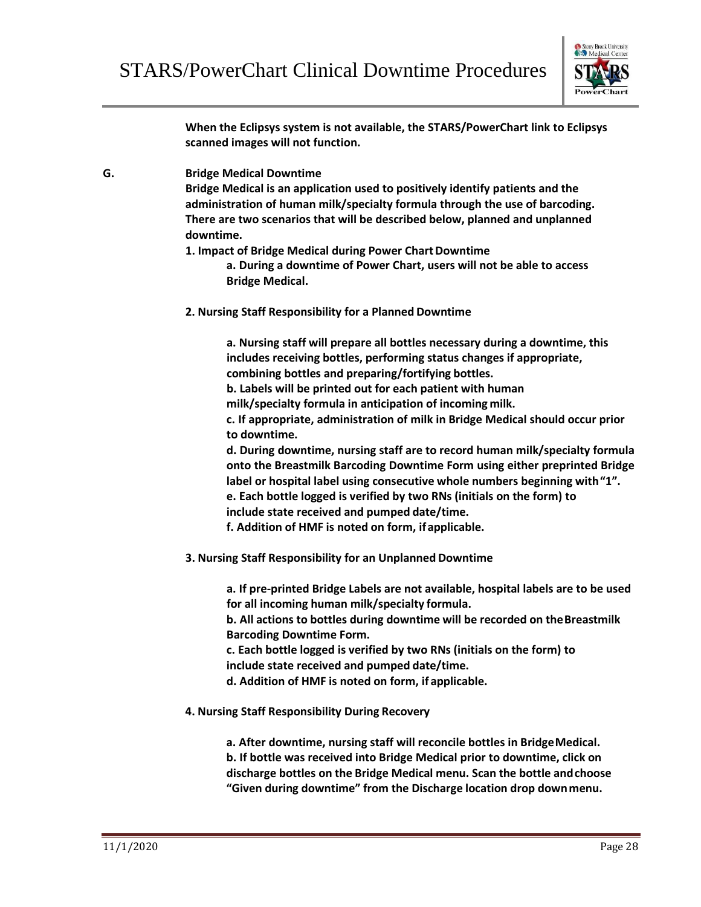![](_page_29_Picture_1.jpeg)

**When the Eclipsys system is not available, the STARS/PowerChart link to Eclipsys scanned images will not function.**

**G. Bridge Medical Downtime**

**Bridge Medical is an application used to positively identify patients and the administration of human milk/specialty formula through the use of barcoding. There are two scenarios that will be described below, planned and unplanned downtime.**

**1. Impact of Bridge Medical during Power ChartDowntime**

**a. During a downtime of Power Chart, users will not be able to access Bridge Medical.**

**2. Nursing Staff Responsibility for a Planned Downtime**

**a. Nursing staff will prepare all bottles necessary during a downtime, this includes receiving bottles, performing status changes if appropriate, combining bottles and preparing/fortifying bottles.**

**b. Labels will be printed out for each patient with human** 

**milk/specialty formula in anticipation of incoming milk.**

**c. If appropriate, administration of milk in Bridge Medical should occur prior to downtime.**

**d. During downtime, nursing staff are to record human milk/specialty formula onto the Breastmilk Barcoding Downtime Form using either preprinted Bridge label or hospital label using consecutive whole numbers beginning with"1". e. Each bottle logged is verified by two RNs (initials on the form) to** 

**include state received and pumped date/time.**

**f. Addition of HMF is noted on form, ifapplicable.**

**3. Nursing Staff Responsibility for an Unplanned Downtime**

**a. If pre-printed Bridge Labels are not available, hospital labels are to be used for all incoming human milk/specialty formula.**

**b. All actions to bottles during downtime will be recorded on theBreastmilk Barcoding Downtime Form.**

**c. Each bottle logged is verified by two RNs (initials on the form) to include state received and pumped date/time.**

**d. Addition of HMF is noted on form, if applicable.**

**4. Nursing Staff Responsibility During Recovery**

**a. After downtime, nursing staff will reconcile bottles in BridgeMedical. b. If bottle was received into Bridge Medical prior to downtime, click on discharge bottles on the Bridge Medical menu. Scan the bottle andchoose "Given during downtime" from the Discharge location drop downmenu.**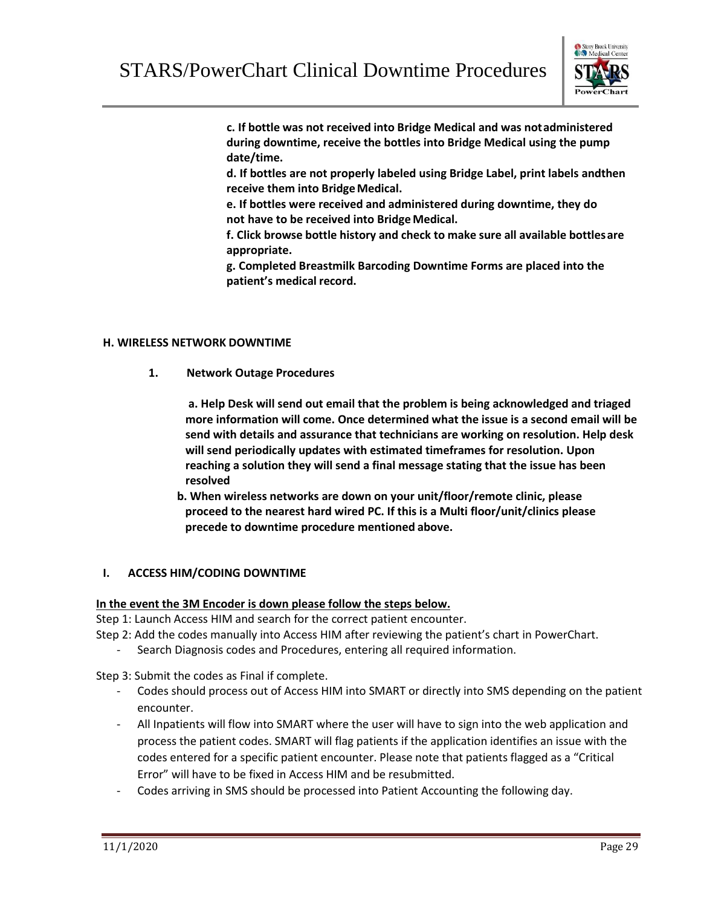![](_page_30_Picture_1.jpeg)

**c. If bottle was not received into Bridge Medical and was notadministered during downtime, receive the bottles into Bridge Medical using the pump date/time.**

**d. If bottles are not properly labeled using Bridge Label, print labels andthen receive them into BridgeMedical.**

**e. If bottles were received and administered during downtime, they do not have to be received into Bridge Medical.**

**f. Click browse bottle history and check to make sure all available bottlesare appropriate.**

**g. Completed Breastmilk Barcoding Downtime Forms are placed into the patient's medical record.**

#### **H. WIRELESS NETWORK DOWNTIME**

**1. Network Outage Procedures**

**a. Help Desk will send out email that the problem is being acknowledged and triaged more information will come. Once determined what the issue is a second email will be send with details and assurance that technicians are working on resolution. Help desk will send periodically updates with estimated timeframes for resolution. Upon reaching a solution they will send a final message stating that the issue has been resolved**

**b. When wireless networks are down on your unit/floor/remote clinic, please proceed to the nearest hard wired PC. If this is a Multi floor/unit/clinics please precede to downtime procedure mentioned above.**

## **I. ACCESS HIM/CODING DOWNTIME**

## **In the event the 3M Encoder is down please follow the steps below.**

Step 1: Launch Access HIM and search for the correct patient encounter.

Step 2: Add the codes manually into Access HIM after reviewing the patient's chart in PowerChart.

Search Diagnosis codes and Procedures, entering all required information.

Step 3: Submit the codes as Final if complete.

- Codes should process out of Access HIM into SMART or directly into SMS depending on the patient encounter.
- All Inpatients will flow into SMART where the user will have to sign into the web application and process the patient codes. SMART will flag patients if the application identifies an issue with the codes entered for a specific patient encounter. Please note that patients flagged as a "Critical Error" will have to be fixed in Access HIM and be resubmitted.
- Codes arriving in SMS should be processed into Patient Accounting the following day.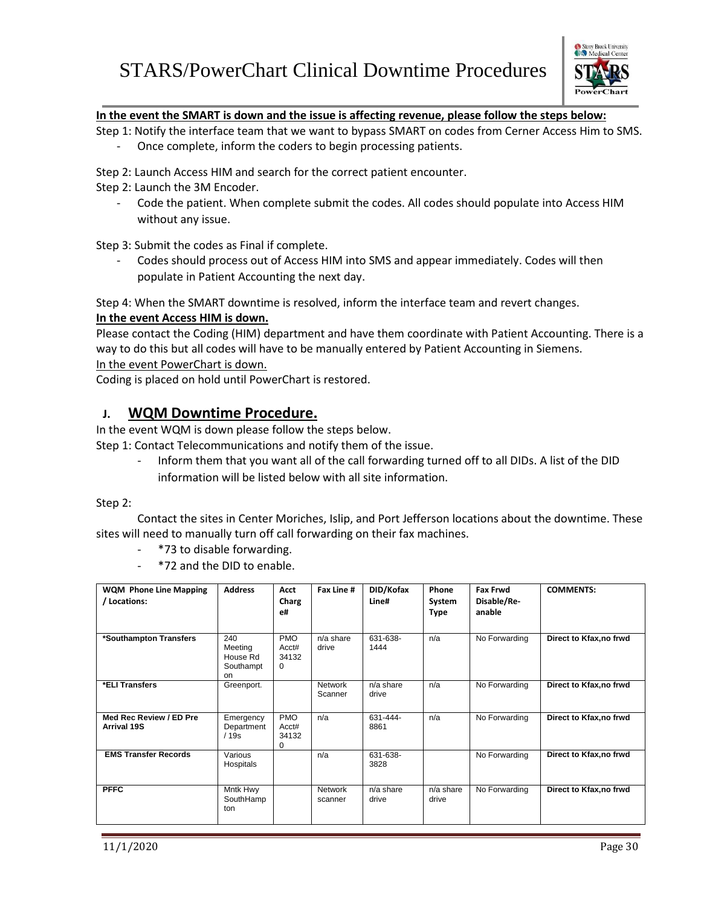![](_page_31_Picture_1.jpeg)

## **In the event the SMART is down and the issue is affecting revenue, please follow the steps below:**

Step 1: Notify the interface team that we want to bypass SMART on codes from Cerner Access Him to SMS. Once complete, inform the coders to begin processing patients.

Step 2: Launch Access HIM and search for the correct patient encounter.

Step 2: Launch the 3M Encoder.

Code the patient. When complete submit the codes. All codes should populate into Access HIM without any issue.

Step 3: Submit the codes as Final if complete.

Codes should process out of Access HIM into SMS and appear immediately. Codes will then populate in Patient Accounting the next day.

Step 4: When the SMART downtime is resolved, inform the interface team and revert changes.

## **In the event Access HIM is down.**

Please contact the Coding (HIM) department and have them coordinate with Patient Accounting. There is a way to do this but all codes will have to be manually entered by Patient Accounting in Siemens. In the event PowerChart is down.

Coding is placed on hold until PowerChart is restored.

## **J. WQM Downtime Procedure.**

In the event WQM is down please follow the steps below.

Step 1: Contact Telecommunications and notify them of the issue.

- Inform them that you want all of the call forwarding turned off to all DIDs. A list of the DID information will be listed below with all site information.

Step 2:

Contact the sites in Center Moriches, Islip, and Port Jefferson locations about the downtime. These sites will need to manually turn off call forwarding on their fax machines.

- \*73 to disable forwarding.
- \*72 and the DID to enable.

| <b>WQM Phone Line Mapping</b><br>/ Locations: | <b>Address</b>                                | Acct<br>Charg<br>e#                      | Fax Line #                | DID/Kofax<br>Line#   | Phone<br>System<br><b>Type</b> | <b>Fax Frwd</b><br>Disable/Re-<br>anable | <b>COMMENTS:</b>        |
|-----------------------------------------------|-----------------------------------------------|------------------------------------------|---------------------------|----------------------|--------------------------------|------------------------------------------|-------------------------|
| *Southampton Transfers                        | 240<br>Meeting<br>House Rd<br>Southampt<br>on | <b>PMO</b><br>Acct#<br>34132<br>$\Omega$ | $n/a$ share<br>drive      | 631-638-<br>1444     | n/a                            | No Forwarding                            | Direct to Kfax, no frwd |
| *ELI Transfers                                | Greenport.                                    |                                          | <b>Network</b><br>Scanner | n/a share<br>drive   | n/a                            | No Forwarding                            | Direct to Kfax, no frwd |
| Med Rec Review / ED Pre<br><b>Arrival 19S</b> | Emergency<br>Department<br>/19s               | <b>PMO</b><br>Acct#<br>34132<br>0        | n/a                       | 631-444-<br>8861     | n/a                            | No Forwarding                            | Direct to Kfax, no frwd |
| <b>EMS Transfer Records</b>                   | Various<br>Hospitals                          |                                          | n/a                       | 631-638-<br>3828     |                                | No Forwarding                            | Direct to Kfax, no frwd |
| <b>PFFC</b>                                   | Mntk Hwy<br>SouthHamp<br>ton                  |                                          | <b>Network</b><br>scanner | $n/a$ share<br>drive | $n/a$ share<br>drive           | No Forwarding                            | Direct to Kfax, no frwd |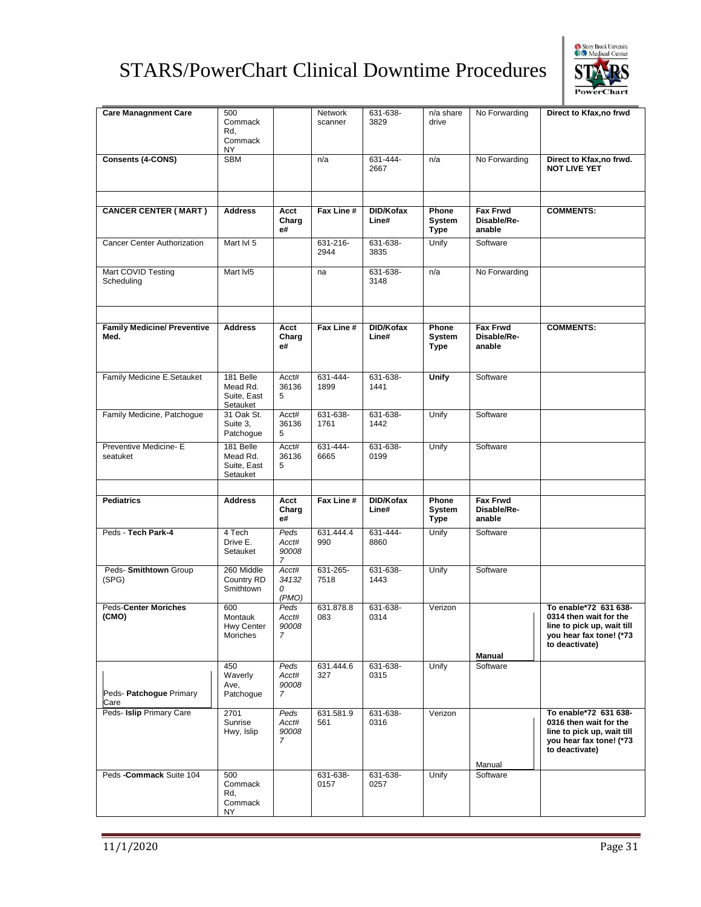![](_page_32_Picture_1.jpeg)

| <b>Care Managnment Care</b>        | 500            |                | Network     | 631-638-    | n/a share    | No Forwarding   | Direct to Kfax, no frwd    |
|------------------------------------|----------------|----------------|-------------|-------------|--------------|-----------------|----------------------------|
|                                    | Commack        |                | scanner     | 3829        | drive        |                 |                            |
|                                    | Rd,            |                |             |             |              |                 |                            |
|                                    | Commack        |                |             |             |              |                 |                            |
|                                    | NY             |                |             |             |              |                 |                            |
| <b>Consents (4-CONS)</b>           | <b>SBM</b>     |                | n/a         | $631 - 444$ | n/a          | No Forwarding   | Direct to Kfax, no frwd.   |
|                                    |                |                |             | 2667        |              |                 | <b>NOT LIVE YET</b>        |
|                                    |                |                |             |             |              |                 |                            |
|                                    |                |                |             |             |              |                 |                            |
|                                    |                |                |             |             |              |                 |                            |
|                                    |                |                |             |             |              |                 |                            |
| <b>CANCER CENTER (MART)</b>        | <b>Address</b> | Acct           | Fax Line #  | DID/Kofax   | Phone        | <b>Fax Frwd</b> | <b>COMMENTS:</b>           |
|                                    |                | Charg          |             | Line#       | System       | Disable/Re-     |                            |
|                                    |                | e#             |             |             | <b>Type</b>  | anable          |                            |
| <b>Cancer Center Authorization</b> | Mart IvI 5     |                | 631-216-    | 631-638-    | Unify        | Software        |                            |
|                                    |                |                | 2944        | 3835        |              |                 |                            |
|                                    |                |                |             |             |              |                 |                            |
| Mart COVID Testing                 | Mart IvI5      |                | na          | 631-638-    | n/a          | No Forwarding   |                            |
| Scheduling                         |                |                |             | 3148        |              |                 |                            |
|                                    |                |                |             |             |              |                 |                            |
|                                    |                |                |             |             |              |                 |                            |
|                                    |                |                |             |             |              |                 |                            |
|                                    |                |                |             |             |              |                 |                            |
| <b>Family Medicine/ Preventive</b> | <b>Address</b> | Acct           | Fax Line #  | DID/Kofax   | Phone        | <b>Fax Frwd</b> | <b>COMMENTS:</b>           |
| Med.                               |                | Charg          |             | Line#       | System       | Disable/Re-     |                            |
|                                    |                | e#             |             |             | Type         | anable          |                            |
|                                    |                |                |             |             |              |                 |                            |
|                                    |                |                |             |             |              |                 |                            |
| Family Medicine E.Setauket         | 181 Belle      | Acct#          | $631 - 444$ | 631-638-    | <b>Unify</b> | Software        |                            |
|                                    | Mead Rd.       | 36136          | 1899        | 1441        |              |                 |                            |
|                                    | Suite, East    | 5              |             |             |              |                 |                            |
|                                    | Setauket       |                |             |             |              |                 |                            |
| Family Medicine, Patchogue         | 31 Oak St.     | Acct#          | 631-638-    | 631-638-    | Unify        | Software        |                            |
|                                    | Suite 3,       | 36136          | 1761        | 1442        |              |                 |                            |
|                                    | Patchogue      | 5              |             |             |              |                 |                            |
| Preventive Medicine- E             | 181 Belle      | Acct#          | 631-444-    | 631-638-    | Unify        | Software        |                            |
| seatuket                           | Mead Rd.       | 36136          | 6665        | 0199        |              |                 |                            |
|                                    | Suite, East    | 5              |             |             |              |                 |                            |
|                                    | Setauket       |                |             |             |              |                 |                            |
|                                    |                |                |             |             |              |                 |                            |
| <b>Pediatrics</b>                  | <b>Address</b> | Acct           | Fax Line #  | DID/Kofax   | Phone        | <b>Fax Frwd</b> |                            |
|                                    |                | Charg          |             | Line#       | System       | Disable/Re-     |                            |
|                                    |                | e#             |             |             | <b>Type</b>  | anable          |                            |
|                                    |                |                |             |             |              |                 |                            |
| Peds - Tech Park-4                 | 4 Tech         | Peds           | 631.444.4   | 631-444-    | Unify        | Software        |                            |
|                                    | Drive E.       | Acct#          | 990         | 8860        |              |                 |                            |
|                                    | Setauket       | 90008          |             |             |              |                 |                            |
|                                    |                | $\overline{7}$ |             |             |              |                 |                            |
| Peds- Smithtown Group              | 260 Middle     | Acct#          | 631-265-    |             |              |                 |                            |
| (SPG)                              | Country RD     |                |             | 631-638-    | Unify        | Software        |                            |
|                                    |                | 34132          | 7518        | 1443        |              |                 |                            |
|                                    | Smithtown      | 0              |             |             |              |                 |                            |
|                                    |                | (PMO)          |             |             |              |                 |                            |
| <b>Peds-Center Moriches</b>        | 600            | Peds           | 631.878.8   | 631-638-    | Verizon      |                 | To enable*72 631 638-      |
| (CMO)                              | Montauk        | Acct#          | 083         | 0314        |              |                 | 0314 then wait for the     |
|                                    | Hwy Center     | 90008          |             |             |              |                 | line to pick up, wait till |
|                                    | Moriches       | 7              |             |             |              |                 | you hear fax tone! (*73    |
|                                    |                |                |             |             |              |                 | to deactivate)             |
|                                    |                |                |             |             |              | <b>Manual</b>   |                            |
|                                    | 450            | Peds           | 631.444.6   | 631-638-    | Unify        | Software        |                            |
|                                    | Waverly        | Acct#          | 327         | 0315        |              |                 |                            |
|                                    | Ave,           | 90008          |             |             |              |                 |                            |
| Peds- Patchogue Primary            | Patchogue      | $\overline{7}$ |             |             |              |                 |                            |
| Care                               |                |                |             |             |              |                 |                            |
| Peds- Islip Primary Care           | 2701           | Peds           | 631.581.9   | 631-638-    | Verizon      |                 | To enable*72 631 638-      |
|                                    | Sunrise        | Acct#          | 561         | 0316        |              |                 | 0316 then wait for the     |
|                                    | Hwy, Islip     | 90008          |             |             |              |                 | line to pick up, wait till |
|                                    |                | $\overline{7}$ |             |             |              |                 | you hear fax tone! (*73    |
|                                    |                |                |             |             |              |                 | to deactivate)             |
|                                    |                |                |             |             |              | Manual          |                            |
| Peds - Commack Suite 104           | 500            |                | 631-638-    | 631-638-    | Unify        | Software        |                            |
|                                    | Commack        |                | 0157        | 0257        |              |                 |                            |
|                                    | Rd,            |                |             |             |              |                 |                            |
|                                    | Commack<br>NΥ  |                |             |             |              |                 |                            |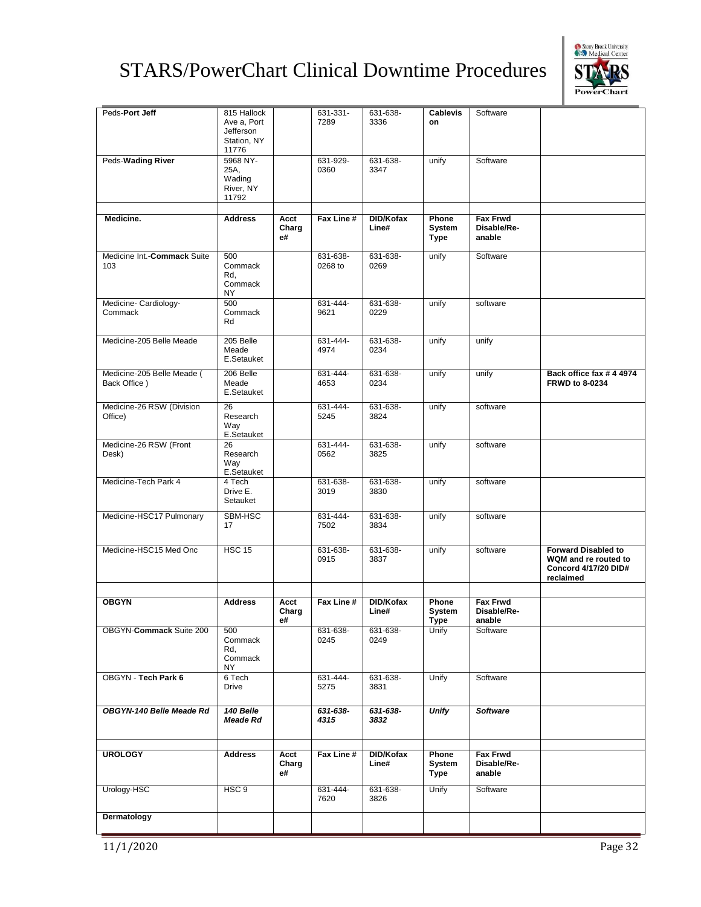![](_page_33_Picture_1.jpeg)

| Peds-Port Jeff                             | 815 Hallock<br>Ave a, Port<br>Jefferson<br>Station, NY<br>11776 |                     | 631-331-<br>7289    | 631-638-<br>3336   | <b>Cablevis</b><br>on          | Software                                 |                                                                                         |
|--------------------------------------------|-----------------------------------------------------------------|---------------------|---------------------|--------------------|--------------------------------|------------------------------------------|-----------------------------------------------------------------------------------------|
| Peds-Wading River                          | 5968 NY-<br>25A,<br>Wading<br>River, NY<br>11792                |                     | 631-929-<br>0360    | 631-638-<br>3347   | unify                          | Software                                 |                                                                                         |
|                                            |                                                                 |                     |                     |                    |                                |                                          |                                                                                         |
| Medicine.                                  | <b>Address</b>                                                  | Acct<br>Charg<br>e# | Fax Line #          | DID/Kofax<br>Line# | Phone<br>System<br><b>Type</b> | <b>Fax Frwd</b><br>Disable/Re-<br>anable |                                                                                         |
| Medicine Int.-Commack Suite<br>103         | 500<br>Commack<br>Rd,<br>Commack<br>NY                          |                     | 631-638-<br>0268 to | 631-638-<br>0269   | unify                          | Software                                 |                                                                                         |
| Medicine- Cardiology-<br>Commack           | 500<br>Commack<br>Rd                                            |                     | 631-444-<br>9621    | 631-638-<br>0229   | unify                          | software                                 |                                                                                         |
| Medicine-205 Belle Meade                   | 205 Belle<br>Meade<br>E.Setauket                                |                     | 631-444-<br>4974    | 631-638-<br>0234   | unify                          | unify                                    |                                                                                         |
| Medicine-205 Belle Meade (<br>Back Office) | 206 Belle<br>Meade<br>E.Setauket                                |                     | 631-444-<br>4653    | 631-638-<br>0234   | unify                          | unify                                    | Back office fax #44974<br><b>FRWD to 8-0234</b>                                         |
| Medicine-26 RSW (Division<br>Office)       | 26<br>Research<br>Way<br>E.Setauket                             |                     | 631-444-<br>5245    | 631-638-<br>3824   | unify                          | software                                 |                                                                                         |
| Medicine-26 RSW (Front<br>Desk)            | 26<br>Research<br>Way<br>E.Setauket                             |                     | 631-444-<br>0562    | 631-638-<br>3825   | unify                          | software                                 |                                                                                         |
| Medicine-Tech Park 4                       | 4 Tech<br>Drive E.<br>Setauket                                  |                     | 631-638-<br>3019    | 631-638-<br>3830   | unify                          | software                                 |                                                                                         |
| Medicine-HSC17 Pulmonary                   | SBM-HSC<br>17                                                   |                     | 631-444-<br>7502    | 631-638-<br>3834   | unify                          | software                                 |                                                                                         |
| Medicine-HSC15 Med Onc                     | <b>HSC 15</b>                                                   |                     | 631-638-<br>0915    | 631-638-<br>3837   | unify                          | software                                 | <b>Forward Disabled to</b><br>WQM and re routed to<br>Concord 4/17/20 DID#<br>reclaimed |
|                                            |                                                                 |                     |                     |                    |                                |                                          |                                                                                         |
| <b>OBGYN</b>                               | <b>Address</b>                                                  | Acct<br>Charg<br>e# | Fax Line #          | DID/Kofax<br>Line# | Phone<br>System<br>Type        | <b>Fax Frwd</b><br>Disable/Re-<br>anable |                                                                                         |
| OBGYN-Commack Suite 200                    | 500<br>Commack<br>Rd,<br>Commack<br>NY                          |                     | 631-638-<br>0245    | 631-638-<br>0249   | Unify                          | Software                                 |                                                                                         |
| OBGYN - Tech Park 6                        | 6 Tech<br><b>Drive</b>                                          |                     | 631-444-<br>5275    | 631-638-<br>3831   | Unify                          | Software                                 |                                                                                         |
| OBGYN-140 Belle Meade Rd                   | 140 Belle<br>Meade Rd                                           |                     | 631-638-<br>4315    | 631-638-<br>3832   | <b>Unify</b>                   | <b>Software</b>                          |                                                                                         |
|                                            |                                                                 |                     |                     |                    |                                |                                          |                                                                                         |
| <b>UROLOGY</b>                             | <b>Address</b>                                                  | Acct<br>Charg<br>e# | Fax Line #          | DID/Kofax<br>Line# | Phone<br>System<br><b>Type</b> | <b>Fax Frwd</b><br>Disable/Re-<br>anable |                                                                                         |
| Urology-HSC                                | HSC <sub>9</sub>                                                |                     | 631-444-<br>7620    | 631-638-<br>3826   | Unify                          | Software                                 |                                                                                         |
| Dermatology                                |                                                                 |                     |                     |                    |                                |                                          |                                                                                         |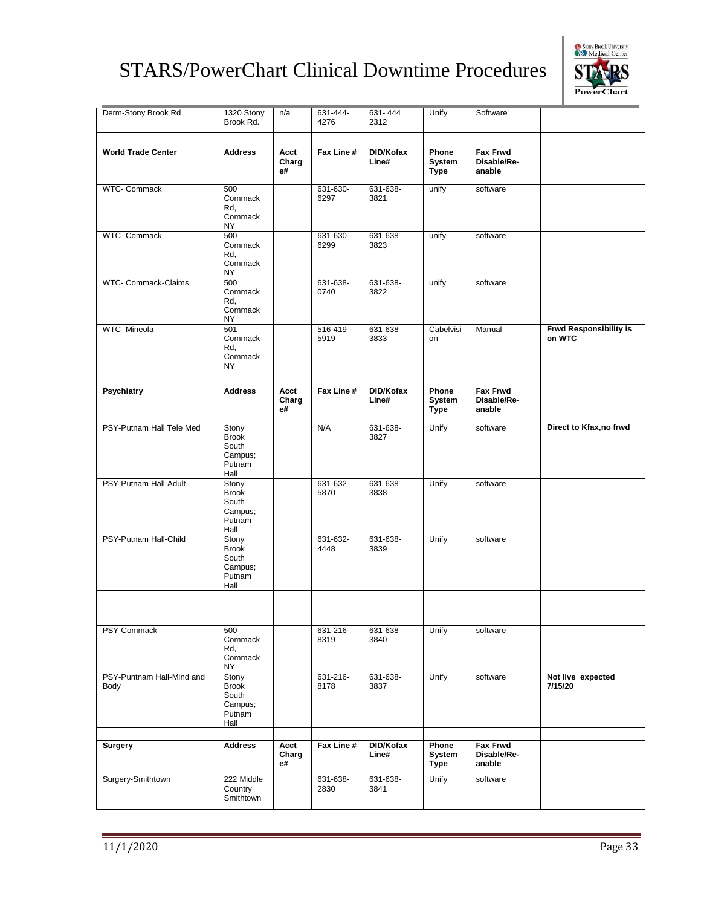![](_page_34_Picture_1.jpeg)

| Derm-Stony Brook Rd               | 1320 Stony<br>Brook Rd.                                     | n/a                 | 631-444-<br>4276 | 631-444<br>2312    | Unify                          | Software                                 |                                         |
|-----------------------------------|-------------------------------------------------------------|---------------------|------------------|--------------------|--------------------------------|------------------------------------------|-----------------------------------------|
| <b>World Trade Center</b>         | <b>Address</b>                                              | Acct<br>Charg<br>e# | Fax Line #       | DID/Kofax<br>Line# | Phone<br>System<br><b>Type</b> | <b>Fax Frwd</b><br>Disable/Re-<br>anable |                                         |
| <b>WTC- Commack</b>               | 500<br>Commack<br>Rd,<br>Commack<br>NY                      |                     | 631-630-<br>6297 | 631-638-<br>3821   | unify                          | software                                 |                                         |
| <b>WTC- Commack</b>               | 500<br>Commack<br>Rd,<br>Commack<br>ΝY                      |                     | 631-630-<br>6299 | 631-638-<br>3823   | unify                          | software                                 |                                         |
| WTC- Commack-Claims               | 500<br>Commack<br>Rd,<br>Commack<br>NY                      |                     | 631-638-<br>0740 | 631-638-<br>3822   | unify                          | software                                 |                                         |
| WTC- Mineola                      | 501<br>Commack<br>Rd,<br>Commack<br>NY                      |                     | 516-419-<br>5919 | 631-638-<br>3833   | Cabelvisi<br>on                | Manual                                   | <b>Frwd Responsibility is</b><br>on WTC |
| <b>Psychiatry</b>                 | <b>Address</b>                                              | Acct<br>Charg<br>e# | Fax Line #       | DID/Kofax<br>Line# | Phone<br>System<br><b>Type</b> | <b>Fax Frwd</b><br>Disable/Re-<br>anable |                                         |
| PSY-Putnam Hall Tele Med          | Stony<br><b>Brook</b><br>South<br>Campus;<br>Putnam<br>Hall |                     | N/A              | 631-638-<br>3827   | Unify                          | software                                 | Direct to Kfax, no frwd                 |
| PSY-Putnam Hall-Adult             | Stony<br><b>Brook</b><br>South<br>Campus;<br>Putnam<br>Hall |                     | 631-632-<br>5870 | 631-638-<br>3838   | Unify                          | software                                 |                                         |
| PSY-Putnam Hall-Child             | Stony<br><b>Brook</b><br>South<br>Campus:<br>Putnam<br>Hall |                     | 631-632-<br>4448 | 631-638-<br>3839   | Unify                          | software                                 |                                         |
|                                   |                                                             |                     |                  |                    |                                |                                          |                                         |
| PSY-Commack                       | 500<br>Commack<br>Rd,<br>Commack<br>NY                      |                     | 631-216-<br>8319 | 631-638-<br>3840   | Unify                          | software                                 |                                         |
| PSY-Puntnam Hall-Mind and<br>Body | Stony<br><b>Brook</b><br>South<br>Campus;<br>Putnam<br>Hall |                     | 631-216-<br>8178 | 631-638-<br>3837   | Unify                          | software                                 | Not live expected<br>7/15/20            |
| <b>Surgery</b>                    | <b>Address</b>                                              | Acct<br>Charg<br>e# | Fax Line #       | DID/Kofax<br>Line# | Phone<br>System<br><b>Type</b> | <b>Fax Frwd</b><br>Disable/Re-<br>anable |                                         |
| Surgery-Smithtown                 | 222 Middle<br>Country<br>Smithtown                          |                     | 631-638-<br>2830 | 631-638-<br>3841   | Unify                          | software                                 |                                         |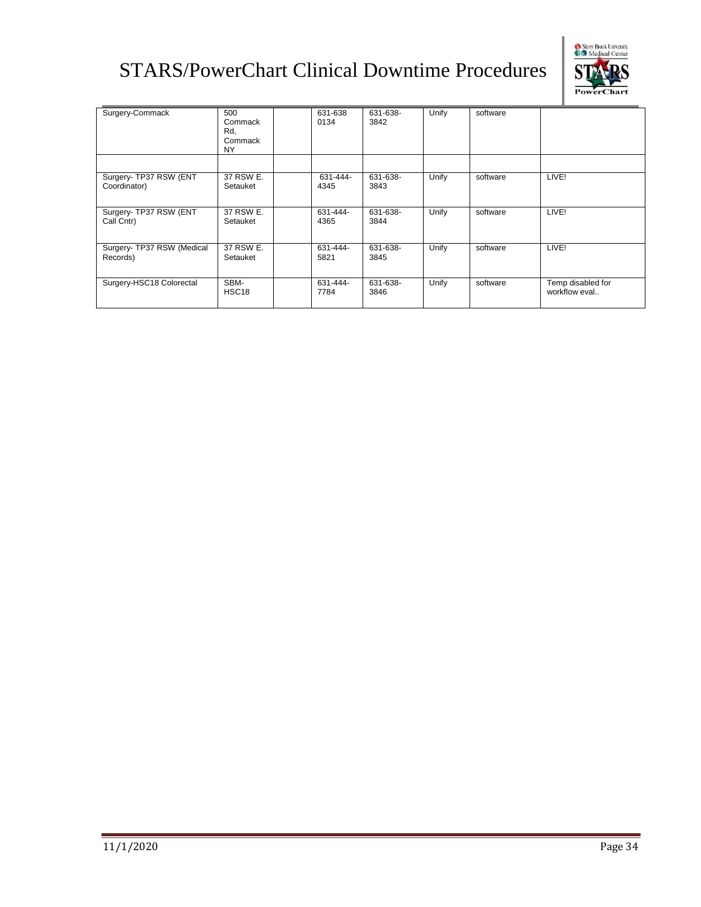![](_page_35_Picture_1.jpeg)

| Surgery-Commack                        | 500<br>Commack<br>Rd,<br>Commack<br>NY. | 631-638<br>0134  | 631-638-<br>3842 | Unify | software |                                    |
|----------------------------------------|-----------------------------------------|------------------|------------------|-------|----------|------------------------------------|
|                                        |                                         |                  |                  |       |          |                                    |
| Surgery- TP37 RSW (ENT<br>Coordinator) | 37 RSW E.<br>Setauket                   | 631-444-<br>4345 | 631-638-<br>3843 | Unify | software | LIVE!                              |
| Surgery- TP37 RSW (ENT<br>Call Cntr)   | 37 RSW E.<br>Setauket                   | 631-444-<br>4365 | 631-638-<br>3844 | Unify | software | LIVE!                              |
| Surgery- TP37 RSW (Medical<br>Records) | 37 RSW E.<br>Setauket                   | 631-444-<br>5821 | 631-638-<br>3845 | Unify | software | LIVE!                              |
| Surgery-HSC18 Colorectal               | SBM-<br>HSC <sub>18</sub>               | 631-444-<br>7784 | 631-638-<br>3846 | Unify | software | Temp disabled for<br>workflow eval |